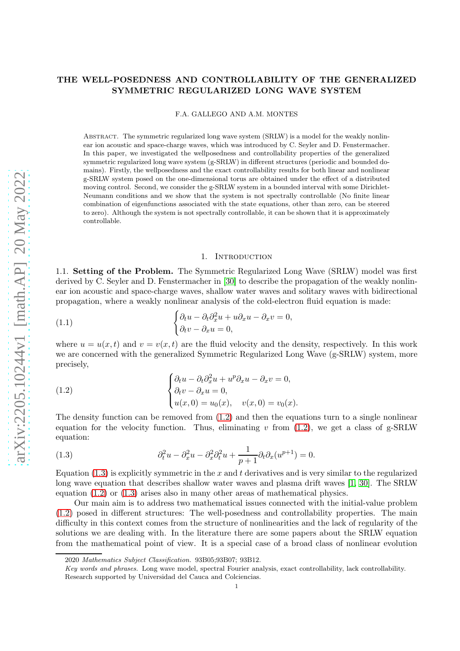# THE WELL-POSEDNESS AND CONTROLLABILITY OF THE GENERALIZED SYMMETRIC REGULARIZED LONG WAVE SYSTEM

F.A. GALLEGO AND A.M. MONTES

ABSTRACT. The symmetric regularized long wave system (SRLW) is a model for the weakly nonlinear ion acoustic and space-charge waves, which was introduced by C. Seyler and D. Fenstermacher. In this paper, we investigated the wellposedness and controllability properties of the generalized symmetric regularized long wave system (g-SRLW) in different structures (periodic and bounded domains). Firstly, the wellposedness and the exact controllability results for both linear and nonlinear g-SRLW system posed on the one-dimensional torus are obtained under the effect of a distributed moving control. Second, we consider the g-SRLW system in a bounded interval with some Dirichlet-Neumann conditions and we show that the system is not spectrally controllable (No finite linear combination of eigenfunctions associated with the state equations, other than zero, can be steered to zero). Although the system is not spectrally controllable, it can be shown that it is approximately controllable.

#### <span id="page-0-2"></span>1. INTRODUCTION

1.1. Setting of the Problem. The Symmetric Regularized Long Wave (SRLW) model was first derived by C. Seyler and D. Fenstermacher in [\[30\]](#page-25-0) to describe the propagation of the weakly nonlinear ion acoustic and space-charge waves, shallow water waves and solitary waves with bidirectional propagation, where a weakly nonlinear analysis of the cold-electron fluid equation is made:

(1.1) 
$$
\begin{cases} \partial_t u - \partial_t \partial_x^2 u + u \partial_x u - \partial_x v = 0, \\ \partial_t v - \partial_x u = 0, \end{cases}
$$

where  $u = u(x, t)$  and  $v = v(x, t)$  are the fluid velocity and the density, respectively. In this work we are concerned with the generalized Symmetric Regularized Long Wave (g-SRLW) system, more precisely,

<span id="page-0-0"></span>(1.2) 
$$
\begin{cases} \partial_t u - \partial_t \partial_x^2 u + u^p \partial_x u - \partial_x v = 0, \\ \partial_t v - \partial_x u = 0, \\ u(x, 0) = u_0(x), \quad v(x, 0) = v_0(x). \end{cases}
$$

The density function can be removed from  $(1.2)$  and then the equations turn to a single nonlinear equation for the velocity function. Thus, eliminating v from  $(1.2)$ , we get a class of g-SRLW equation:

<span id="page-0-1"></span>(1.3) 
$$
\partial_t^2 u - \partial_x^2 u - \partial_x^2 \partial_t^2 u + \frac{1}{p+1} \partial_t \partial_x (u^{p+1}) = 0.
$$

Equation  $(1.3)$  is explicitly symmetric in the x and t derivatives and is very similar to the regularized long wave equation that describes shallow water waves and plasma drift waves [\[1,](#page-25-1) [30\]](#page-25-0). The SRLW equation [\(1.2\)](#page-0-0) or [\(1.3\)](#page-0-1) arises also in many other areas of mathematical physics.

Our main aim is to address two mathematical issues connected with the initial-value problem [\(1.2\)](#page-0-0) posed in different structures: The well-posedness and controllability properties. The main difficulty in this context comes from the structure of nonlinearities and the lack of regularity of the solutions we are dealing with. In the literature there are some papers about the SRLW equation from the mathematical point of view. It is a special case of a broad class of nonlinear evolution

<sup>2020</sup> Mathematics Subject Classification. 93B05;93B07; 93B12.

Key words and phrases. Long wave model, spectral Fourier analysis, exact controllability, lack controllability. Research supported by Universidad del Cauca and Colciencias.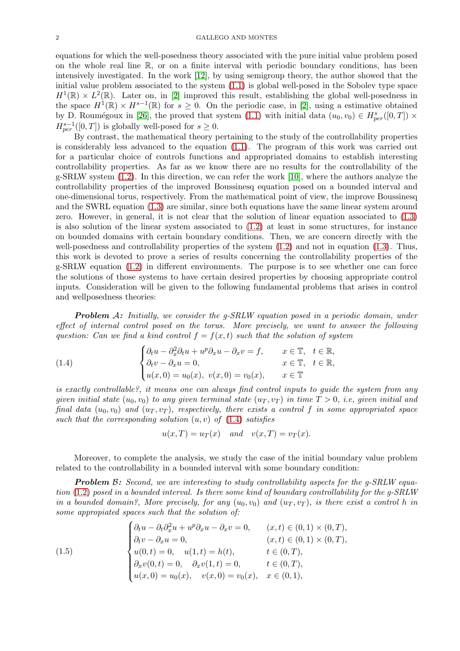equations for which the well-posedness theory associated with the pure initial value problem posed on the whole real line R, or on a finite interval with periodic boundary conditions, has been intensively investigated. In the work [\[12\]](#page-25-2), by using semigroup theory, the author showed that the initial value problem associated to the system [\(1.1\)](#page-0-2) is global well-posed in the Sobolev type space  $H^1(\mathbb{R}) \times L^2(\mathbb{R})$ . Later on, in [\[2\]](#page-25-3) improved this result, establishing the global well-posedness in the space  $H^1(\mathbb{R}) \times H^{s-1}(\mathbb{R})$  for  $s \geq 0$ . On the periodic case, in [\[2\]](#page-25-3), using a estimative obtained by D. Roumégoux in [\[26\]](#page-25-4), the proved that system [\(1.1\)](#page-0-2) with initial data  $(u_0, v_0) \in H_{per}^s([0, T]) \times$  $H^{s-1}_{per}([0,T])$  is globally well-posed for  $s \geq 0$ .

By contrast, the mathematical theory pertaining to the study of the controllability properties is considerably less advanced to the equation [\(1.1\)](#page-0-2). The program of this work was carried out for a particular choice of controls functions and appropriated domains to establish interesting controllability properties. As far as we know there are no results for the controllability of the g-SRLW system [\(1.2\)](#page-0-0). In this direction, we can refer the work [\[10\]](#page-25-5), where the authors analyze the controllability properties of the improved Boussinesq equation posed on a bounded interval and one-dimensional torus, respectively. From the mathematical point of view, the improve Boussinesq and the SWRL equation [\(1.3\)](#page-0-1) are similar, since both equations have the same linear system around zero. However, in general, it is not clear that the solution of linear equation associated to [\(1.3\)](#page-0-1) is also solution of the linear system associated to [\(1.2\)](#page-0-0) at least in some structures, for instance on bounded domains with certain boundary conditions. Then, we are concern directly with the well-posedness and controllability properties of the system  $(1.2)$  and not in equation  $(1.3)$ . Thus, this work is devoted to prove a series of results concerning the controllability properties of the g-SRLW equation [\(1.2\)](#page-0-0) in different environments. The purpose is to see whether one can force the solutions of those systems to have certain desired properties by choosing appropriate control inputs. Consideration will be given to the following fundamental problems that arises in control and wellposedness theories:

**Problem** A: Initially, we consider the g-SRLW equation posed in a periodic domain, under effect of internal control posed on the torus. More precisely, we want to answer the following question: Can we find a kind control  $f = f(x,t)$  such that the solution of system

(1.4) 
$$
\begin{cases} \partial_t u - \partial_x^2 \partial_t u + u^p \partial_x u - \partial_x v = f, & x \in \mathbb{T}, \quad t \in \mathbb{R}, \\ \partial_t v - \partial_x u = 0, & x \in \mathbb{T}, \quad t \in \mathbb{R}, \\ u(x, 0) = u_0(x), \quad v(x, 0) = v_0(x), & x \in \mathbb{T} \end{cases}
$$

is exactly controllable?, it means one can always find control inputs to guide the system from any given initial state  $(u_0, v_0)$  to any given terminal state  $(u_T, v_T)$  in time  $T > 0$ , i.e, given initial and final data  $(u_0, v_0)$  and  $(u_T, v_T)$ , respectively, there exists a control f in some appropriated space such that the corresponding solution  $(u, v)$  of  $(1.4)$  satisfies

<span id="page-1-0"></span>
$$
u(x,T) = u_T(x) \quad and \quad v(x,T) = v_T(x).
$$

Moreover, to complete the analysis, we study the case of the initial boundary value problem related to the controllability in a bounded interval with some boundary condition:

**Problem B:** Second, we are interesting to study controllability aspects for the g-SRLW equation [\(1.2\)](#page-0-0) posed in a bounded interval. Is there some kind of boundary controllability for the g-SRLW in a bounded domain?, More precisely, for any  $(u_0, v_0)$  and  $(u_T, v_T)$ , is there exist a control h in some appropiated spaces such that the solution of:

<span id="page-1-1"></span>(1.5) 
$$
\begin{cases} \partial_t u - \partial_t \partial_x^2 u + u^p \partial_x u - \partial_x v = 0, & (x, t) \in (0, 1) \times (0, T), \\ \partial_t v - \partial_x u = 0, & (x, t) \in (0, 1) \times (0, T), \\ u(0, t) = 0, & u(1, t) = h(t), & t \in (0, T), \\ \partial_x v(0, t) = 0, & \partial_x v(1, t) = 0, & t \in (0, T), \\ u(x, 0) = u_0(x), & v(x, 0) = v_0(x), & x \in (0, 1), \end{cases}
$$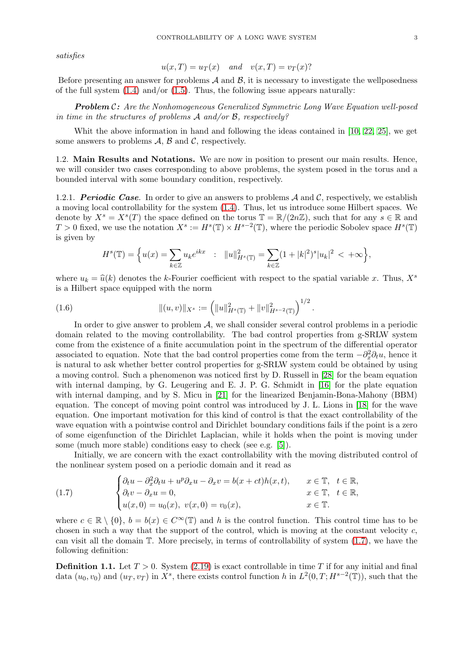satisfies

$$
u(x,T) = u_T(x) \quad and \quad v(x,T) = v_T(x)?
$$

Before presenting an answer for problems  $A$  and  $B$ , it is necessary to investigate the wellposedness of the full system  $(1.4)$  and/or  $(1.5)$ . Thus, the following issue appears naturally:

**Problem C:** Are the Nonhomogeneous Generalized Symmetric Long Wave Equation well-posed in time in the structures of problems A and/or B, respectively?

Whit the above information in hand and following the ideas contained in [\[10,](#page-25-5) [22,](#page-25-6) [25\]](#page-25-7), we get some answers to problems  $\mathcal{A}, \mathcal{B}$  and  $\mathcal{C}$ , respectively.

1.2. Main Results and Notations. We are now in position to present our main results. Hence, we will consider two cases corresponding to above problems, the system posed in the torus and a bounded interval with some boundary condition, respectively.

1.2.1. *Periodic Case*. In order to give an answers to problems A and C, respectively, we establish a moving local controllability for the system [\(1.4\)](#page-1-0). Thus, let us introduce some Hilbert spaces. We denote by  $X^s = X^s(T)$  the space defined on the torus  $\mathbb{T} = \mathbb{R}/(2n\mathbb{Z})$ , such that for any  $s \in \mathbb{R}$  and  $T > 0$  fixed, we use the notation  $X^s := H^s(\mathbb{T}) \times H^{s-2}(\mathbb{T})$ , where the periodic Sobolev space  $H^s(\mathbb{T})$ is given by

$$
H^{s}(\mathbb{T}) = \Big\{ u(x) = \sum_{k \in \mathbb{Z}} u_k e^{ikx} \ : \ \|u\|_{H^{s}(\mathbb{T})}^2 = \sum_{k \in \mathbb{Z}} (1 + |k|^2)^s |u_k|^2 < +\infty \Big\},
$$

where  $u_k = \hat{u}(k)$  denotes the k-Fourier coefficient with respect to the spatial variable x. Thus,  $X^s$ is a Hilbert space equipped with the norm

(1.6) 
$$
\| (u,v) \|_{X^s} := \left( \| u \|_{H^s(\mathbb{T})}^2 + \| v \|_{H^{s-2}(\mathbb{T})}^2 \right)^{1/2}.
$$

In order to give answer to problem  $A$ , we shall consider several control problems in a periodic domain related to the moving controllability. The bad control properties from g-SRLW system come from the existence of a finite accumulation point in the spectrum of the differential operator associated to equation. Note that the bad control properties come from the term  $-\partial_x^2 \partial_t u$ , hence it is natural to ask whether better control properties for g-SRLW system could be obtained by using a moving control. Such a phenomenon was noticed first by D. Russell in [\[28\]](#page-25-8) for the beam equation with internal damping, by G. Leugering and E. J. P. G. Schmidt in [\[16\]](#page-25-9) for the plate equation with internal damping, and by S. Micu in [\[21\]](#page-25-10) for the linearized Benjamin-Bona-Mahony (BBM) equation. The concept of moving point control was introduced by J. L. Lions in [\[18\]](#page-25-11) for the wave equation. One important motivation for this kind of control is that the exact controllability of the wave equation with a pointwise control and Dirichlet boundary conditions fails if the point is a zero of some eigenfunction of the Dirichlet Laplacian, while it holds when the point is moving under some (much more stable) conditions easy to check (see e.g. [\[5\]](#page-25-12)).

Initially, we are concern with the exact controllability with the moving distributed control of the nonlinear system posed on a periodic domain and it read as

<span id="page-2-0"></span>(1.7) 
$$
\begin{cases} \partial_t u - \partial_x^2 \partial_t u + u^p \partial_x u - \partial_x v = b(x + ct)h(x, t), & x \in \mathbb{T}, \quad t \in \mathbb{R}, \\ \partial_t v - \partial_x u = 0, & x \in \mathbb{T}, \quad t \in \mathbb{R}, \\ u(x, 0) = u_0(x), \quad v(x, 0) = v_0(x), & x \in \mathbb{T}. \end{cases}
$$

where  $c \in \mathbb{R} \setminus \{0\}$ ,  $b = b(x) \in C^{\infty}(\mathbb{T})$  and h is the control function. This control time has to be chosen in such a way that the support of the control, which is moving at the constant velocity  $c$ , can visit all the domain  $\mathbb T$ . More precisely, in terms of controllability of system  $(1.7)$ , we have the following definition:

**Definition 1.1.** Let  $T > 0$ . System [\(2.19\)](#page-10-0) is exact controllable in time T if for any initial and final data  $(u_0, v_0)$  and  $(u_T, v_T)$  in  $X^s$ , there exists control function h in  $L^2(0, T; H^{s-2}(\mathbb{T}))$ , such that the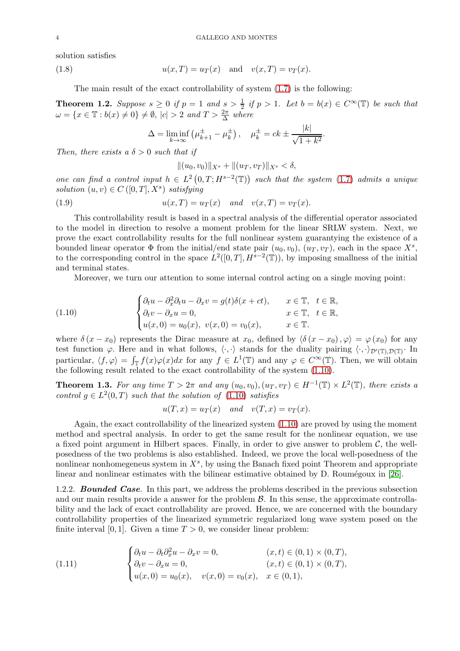solution satisfies

(1.8) 
$$
u(x,T) = u_T(x)
$$
 and  $v(x,T) = v_T(x)$ .

The main result of the exact controllability of system [\(1.7\)](#page-2-0) is the following:

<span id="page-3-2"></span>**Theorem 1.2.** Suppose  $s \geq 0$  if  $p = 1$  and  $s > \frac{1}{2}$  if  $p > 1$ . Let  $b = b(x) \in C^{\infty}(\mathbb{T})$  be such that  $\omega = \{x \in \mathbb{T} : b(x) \neq 0\} \neq \emptyset, \, |c| > 2 \text{ and } T > \frac{2\pi}{\Delta} \text{ where }$ 

$$
\Delta = \liminf_{k \to \infty} (\mu_{k+1}^{\pm} - \mu_k^{\pm}), \quad \mu_k^{\pm} = ck \pm \frac{|k|}{\sqrt{1 + k^2}}.
$$

Then, there exists a  $\delta > 0$  such that if

<span id="page-3-3"></span>
$$
||(u_0, v_0)||_{X^s} + ||(u_T, v_T)||_{X^s} < \delta,
$$

one can find a control input  $h \in L^2(0,T;H^{s-2}(\mathbb{T}))$  such that the system [\(1.7\)](#page-2-0) admits a unique solution  $(u, v) \in C([0, T], X^s)$  satisfying

(1.9) 
$$
u(x,T) = u_T(x) \quad and \quad v(x,T) = v_T(x).
$$

This controllability result is based in a spectral analysis of the differential operator associated to the model in direction to resolve a moment problem for the linear SRLW system. Next, we prove the exact controllability results for the full nonlinear system guarantying the existence of a bounded linear operator  $\Phi$  from the initial/end state pair  $(u_0, v_0)$ ,  $(u_T, v_T)$ , each in the space  $X^s$ , to the corresponding control in the space  $L^2([0,T], H^{s-2}(\mathbb{T}))$ , by imposing smallness of the initial and terminal states.

<span id="page-3-0"></span>Moreover, we turn our attention to some internal control acting on a single moving point:

(1.10) 
$$
\begin{cases} \partial_t u - \partial_x^2 \partial_t u - \partial_x v = g(t) \delta(x + ct), & x \in \mathbb{T}, \quad t \in \mathbb{R}, \\ \partial_t v - \partial_x u = 0, & x \in \mathbb{T}, \quad t \in \mathbb{R}, \\ u(x, 0) = u_0(x), \quad v(x, 0) = v_0(x), & x \in \mathbb{T}. \end{cases}
$$

where  $\delta(x-x_0)$  represents the Dirac measure at  $x_0$ , defined by  $\langle \delta(x-x_0), \varphi \rangle = \varphi(x_0)$  for any test function  $\varphi$ . Here and in what follows,  $\langle \cdot, \cdot \rangle$  stands for the duality pairing  $\langle \cdot, \cdot \rangle_{\mathcal{D}'(\mathbb{T}),\mathcal{D}(\mathbb{T})}$ . In particular,  $\langle f, \varphi \rangle = \int_{\mathbb{T}} f(x)\varphi(x)dx$  for any  $f \in L^1(\mathbb{T})$  and any  $\varphi \in C^{\infty}(\mathbb{T})$ . Then, we will obtain the following result related to the exact controllability of the system [\(1.10\)](#page-3-0).

<span id="page-3-4"></span>**Theorem 1.3.** For any time  $T > 2\pi$  and any  $(u_0, v_0), (u_T, v_T) \in H^{-1}(\mathbb{T}) \times L^2(\mathbb{T})$ , there exists a control  $g \in L^2(0,T)$  such that the solution of  $(1.10)$  satisfies

$$
u(T, x) = u_T(x) \quad and \quad v(T, x) = v_T(x).
$$

Again, the exact controllability of the linearized system [\(1.10\)](#page-3-0) are proved by using the moment method and spectral analysis. In order to get the same result for the nonlinear equation, we use a fixed point argument in Hilbert spaces. Finally, in order to give answer to problem  $\mathcal{C}$ , the wellposedness of the two problems is also established. Indeed, we prove the local well-posedness of the nonlinear nonhomegeneus system in  $X^s$ , by using the Banach fixed point Theorem and appropriate linear and nonlinear estimates with the bilinear estimative obtained by  $D$ . Roumégoux in [\[26\]](#page-25-4).

1.2.2. *Bounded Case*. In this part, we address the problems described in the previous subsection and our main results provide a answer for the problem  $\beta$ . In this sense, the approximate controllability and the lack of exact controllability are proved. Hence, we are concerned with the boundary controllability properties of the linearized symmetric regularized long wave system posed on the finite interval [0, 1]. Given a time  $T > 0$ , we consider linear problem:

<span id="page-3-1"></span>(1.11) 
$$
\begin{cases} \partial_t u - \partial_t \partial_x^2 u - \partial_x v = 0, & (x, t) \in (0, 1) \times (0, T), \\ \partial_t v - \partial_x u = 0, & (x, t) \in (0, 1) \times (0, T), \\ u(x, 0) = u_0(x), & v(x, 0) = v_0(x), & x \in (0, 1), \end{cases}
$$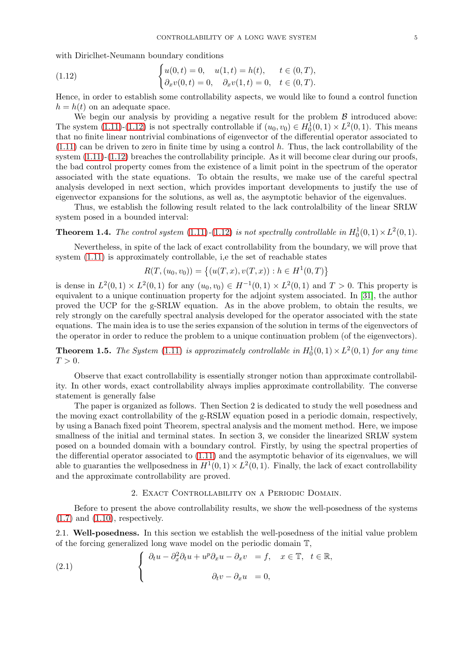with Diriclhet-Neumann boundary conditions

<span id="page-4-0"></span>(1.12) 
$$
\begin{cases} u(0,t) = 0, & u(1,t) = h(t), & t \in (0,T), \\ \partial_x v(0,t) = 0, & \partial_x v(1,t) = 0, & t \in (0,T). \end{cases}
$$

Hence, in order to establish some controllability aspects, we would like to found a control function  $h = h(t)$  on an adequate space.

We begin our analysis by providing a negative result for the problem  $\beta$  introduced above: The system [\(1.11\)](#page-3-1)-[\(1.12\)](#page-4-0) is not spectrally controllable if  $(u_0, v_0) \in H_0^1(0, 1) \times L^2(0, 1)$ . This means that no finite linear nontrivial combinations of eigenvector of the differential operator associated to [\(1.11\)](#page-3-1) can be driven to zero in finite time by using a control h. Thus, the lack controllability of the system  $(1.11)-(1.12)$  $(1.11)-(1.12)$  breaches the controllability principle. As it will become clear during our proofs, the bad control property comes from the existence of a limit point in the spectrum of the operator associated with the state equations. To obtain the results, we make use of the careful spectral analysis developed in next section, which provides important developments to justify the use of eigenvector expansions for the solutions, as well as, the asymptotic behavior of the eigenvalues.

Thus, we establish the following result related to the lack controlalbility of the linear SRLW system posed in a bounded interval:

<span id="page-4-2"></span>**Theorem 1.4.** The control system  $(1.11)-(1.12)$  $(1.11)-(1.12)$  $(1.11)-(1.12)$  is not spectrally controllable in  $H_0^1(0,1) \times L^2(0,1)$ .

Nevertheless, in spite of the lack of exact controllability from the boundary, we will prove that system [\(1.11\)](#page-3-1) is approximately controllable, i,e the set of reachable states

$$
R(T, (u_0, v_0)) = \{(u(T, x), v(T, x)) : h \in H^1(0, T)\}
$$

is dense in  $L^2(0,1) \times L^2(0,1)$  for any  $(u_0, v_0) \in H^{-1}(0,1) \times L^2(0,1)$  and  $T > 0$ . This property is equivalent to a unique continuation property for the adjoint system associated. In [\[31\]](#page-25-13), the author proved the UCP for the g-SRLW equation. As in the above problem, to obtain the results, we rely strongly on the carefully spectral analysis developed for the operator associated with the state equations. The main idea is to use the series expansion of the solution in terms of the eigenvectors of the operator in order to reduce the problem to a unique continuation problem (of the eigenvectors).

<span id="page-4-3"></span>**Theorem 1.5.** The System [\(1.11\)](#page-3-1) is approximately controllable in  $H_0^1(0,1) \times L^2(0,1)$  for any time  $T > 0$ .

Observe that exact controllability is essentially stronger notion than approximate controllability. In other words, exact controllability always implies approximate controllability. The converse statement is generally false

The paper is organized as follows. Then Section 2 is dedicated to study the well posedness and the moving exact controllability of the g-RSLW equation posed in a periodic domain, respectively, by using a Banach fixed point Theorem, spectral analysis and the moment method. Here, we impose smallness of the initial and terminal states. In section 3, we consider the linearized SRLW system posed on a bounded domain with a boundary control. Firstly, by using the spectral properties of the differential operator associated to [\(1.11\)](#page-3-1) and the asymptotic behavior of its eigenvalues, we will able to guaranties the well posedness in  $H^1(0,1) \times L^2(0,1)$ . Finally, the lack of exact controllability and the approximate controllability are proved.

## <span id="page-4-1"></span>2. Exact Controllability on a Periodic Domain.

Before to present the above controllability results, we show the well-posedness of the systems  $(1.7)$  and  $(1.10)$ , respectively.

2.1. Well-posedness. In this section we establish the well-posedness of the initial value problem of the forcing generalized long wave model on the periodic domain T,

(2.1) 
$$
\begin{cases} \partial_t u - \partial_x^2 \partial_t u + u^p \partial_x u - \partial_x v = f, & x \in \mathbb{T}, \quad t \in \mathbb{R}, \\ \partial_t v - \partial_x u = 0, \end{cases}
$$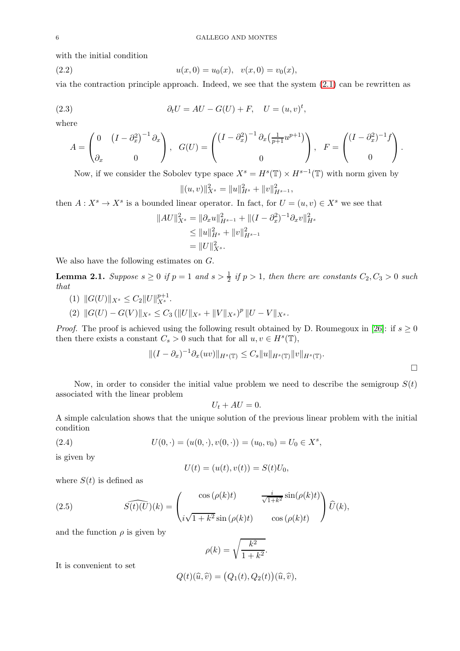with the initial condition

<span id="page-5-0"></span>(2.2) 
$$
u(x,0) = u_0(x), \quad v(x,0) = v_0(x)
$$

via the contraction principle approach. Indeed, we see that the system  $(2.1)$  can be rewritten as

(2.3) 
$$
\partial_t U = AU - G(U) + F, \quad U = (u, v)^t,
$$

where

<span id="page-5-1"></span>
$$
A = \begin{pmatrix} 0 & \left(I - \partial_x^2\right)^{-1} \partial_x \\ \partial_x & 0 \end{pmatrix}, \quad G(U) = \begin{pmatrix} \left(I - \partial_x^2\right)^{-1} \partial_x \left(\frac{1}{p+1} u^{p+1}\right) \\ 0 \end{pmatrix}, \quad F = \begin{pmatrix} \left(I - \partial_x^2\right)^{-1} f \\ 0 \end{pmatrix}.
$$

Now, if we consider the Sobolev type space  $X^s = H^s(\mathbb{T}) \times H^{s-1}(\mathbb{T})$  with norm given by  $||(u, v)||_{X^{s}}^{2} = ||u||_{H^{s}}^{2} + ||v||_{H^{s-1}}^{2},$ 

then 
$$
A: X^s \to X^s
$$
 is a bounded linear operator. In fact, for  $U = (u, v) \in X^s$  we see that

$$
||AU||_{X^s}^2 = ||\partial_x u||_{H^{s-1}}^2 + ||(I - \partial_x^2)^{-1} \partial_x v||_{H^s}^2
$$
  
\n
$$
\leq ||u||_{H^s}^2 + ||v||_{H^{s-1}}^2
$$
  
\n
$$
= ||U||_{X^s}^2.
$$

We also have the following estimates on G.

<span id="page-5-3"></span>**Lemma 2.1.** Suppose  $s \ge 0$  if  $p = 1$  and  $s > \frac{1}{2}$  if  $p > 1$ , then there are constants  $C_2, C_3 > 0$  such that

- (1)  $||G(U)||_{X^s} \leq C_2 ||U||_{X^s}^{p+1}.$
- (2)  $||G(U) G(V)||_{X^s} \leq C_3 (||U||_{X^s} + ||V||_{X^s})^p ||U V||_{X^s}.$

*Proof.* The proof is achieved using the following result obtained by D. Roumegoux in [\[26\]](#page-25-4): if  $s \ge 0$ then there exists a constant  $C_s > 0$  such that for all  $u, v \in H<sup>s</sup>(\mathbb{T})$ ,

$$
||(I - \partial_x)^{-1}\partial_x(uv)||_{H^s(\mathbb{T})} \leq C_s ||u||_{H^s(\mathbb{T})} ||v||_{H^s(\mathbb{T})}.
$$

Now, in order to consider the initial value problem we need to describe the semigroup  $S(t)$ associated with the linear problem

$$
U_t + AU = 0.
$$

A simple calculation shows that the unique solution of the previous linear problem with the initial condition

(2.4) 
$$
U(0, \cdot) = (u(0, \cdot), v(0, \cdot)) = (u_0, v_0) = U_0 \in X^s,
$$

is given by

<span id="page-5-2"></span>
$$
U(t) = (u(t), v(t)) = S(t)U_0,
$$

where  $S(t)$  is defined as

(2.5) 
$$
\widehat{S(t)(U)}(k) = \begin{pmatrix} \cos(\rho(k)t) & \frac{i}{\sqrt{1+k^2}} \sin(\rho(k)t) \\ i\sqrt{1+k^2} \sin(\rho(k)t) & \cos(\rho(k)t) \end{pmatrix} \widehat{U}(k),
$$

and the function  $\rho$  is given by

$$
\rho(k) = \sqrt{\frac{k^2}{1 + k^2}}.
$$

It is convenient to set

$$
Q(t)(\widehat{u},\widehat{v}) = (Q_1(t), Q_2(t))(\widehat{u},\widehat{v}),
$$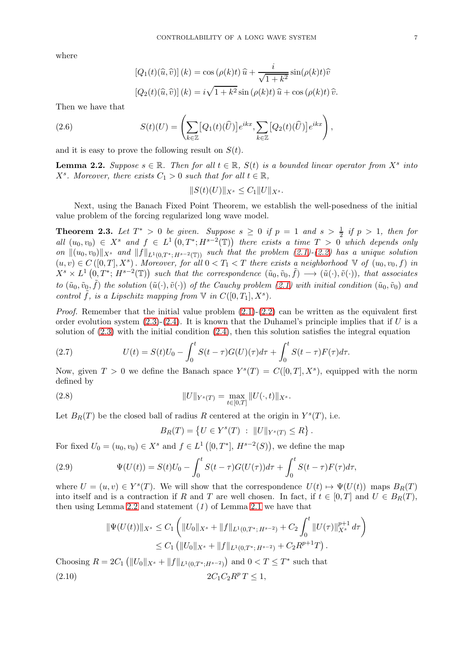where

<span id="page-6-4"></span>
$$
[Q_1(t)(\widehat{u}, \widehat{v})](k) = \cos(\rho(k)t)\widehat{u} + \frac{i}{\sqrt{1+k^2}}\sin(\rho(k)t)\widehat{v}
$$

$$
[Q_2(t)(\widehat{u}, \widehat{v})](k) = i\sqrt{1+k^2}\sin(\rho(k)t)\widehat{u} + \cos(\rho(k)t)\widehat{v}.
$$

Then we have that

(2.6) 
$$
S(t)(U) = \left(\sum_{k\in\mathbb{Z}} [Q_1(t)(\widehat{U})]e^{ikx}, \sum_{k\in\mathbb{Z}}[Q_2(t)(\widehat{U})]e^{ikx}\right),
$$

and it is easy to prove the following result on  $S(t)$ .

<span id="page-6-0"></span>**Lemma 2.2.** Suppose  $s \in \mathbb{R}$ . Then for all  $t \in \mathbb{R}$ ,  $S(t)$  is a bounded linear operator from  $X^s$  into  $X^s$ . Moreover, there exists  $C_1 > 0$  such that for all  $t \in \mathbb{R}$ ,

$$
||S(t)(U)||_{X^s} \leq C_1 ||U||_{X^s}.
$$

Next, using the Banach Fixed Point Theorem, we establish the well-posedness of the initial value problem of the forcing regularized long wave model.

<span id="page-6-3"></span>**Theorem 2.3.** Let  $T^* > 0$  be given. Suppose  $s \geq 0$  if  $p = 1$  and  $s > \frac{1}{2}$  if  $p > 1$ , then for all  $(u_0, v_0) \in X^s$  and  $f \in L^1(0, T^*; H^{s-2}(\mathbb{T}))$  there exists a time  $T > 0$  which depends only on  $\|(u_0, v_0)\|_{X^s}$  and  $\|f\|_{L^1(0,T^*; H^{s-2}(\mathbb{T}))}$  such that the problem [\(2.1\)](#page-4-1)-[\(2.2\)](#page-5-0) has a unique solution  $(u, v) \in C([0, T], X<sup>s</sup>)$ . Moreover, for all  $0 < T<sub>1</sub> < T$  there exists a neighborhood  $\mathbb{V}$  of  $(u_0, v_0, f)$  in  $X^s \times L^1(0,T^*; H^{s-2}(\mathbb{T}))$  such that the correspondence  $(\tilde{u}_0, \tilde{v}_0, \tilde{f}) \longrightarrow (\tilde{u}(\cdot), \tilde{v}(\cdot))$ , that associates to  $(\tilde{u}_0, \tilde{v}_0, \tilde{f})$  the solution  $(\tilde{u}(\cdot), \tilde{v}(\cdot))$  of the Cauchy problem  $(2.1)$  with initial condition  $(\tilde{u}_0, \tilde{v}_0)$  and control  $\tilde{f}$ , is a Lipschitz mapping from  $\mathbb V$  in  $C([0,T_1],X^s)$ .

*Proof.* Remember that the initial value problem  $(2.1)-(2.2)$  $(2.1)-(2.2)$  can be written as the equivalent first order evolution system  $(2.3)-(2.4)$  $(2.3)-(2.4)$ . It is known that the Duhamel's principle implies that if U is a solution of  $(2.3)$  with the initial condition  $(2.4)$ , then this solution satisfies the integral equation

<span id="page-6-2"></span>(2.7) 
$$
U(t) = S(t)U_0 - \int_0^t S(t-\tau)G(U)(\tau)d\tau + \int_0^t S(t-\tau)F(\tau)d\tau.
$$

Now, given  $T > 0$  we define the Banach space  $Y^{s}(T) = C([0, T], X^{s})$ , equipped with the norm defined by

(2.8) 
$$
||U||_{Y^{s}(T)} = \max_{t \in [0,T]} ||U(\cdot,t)||_{X^{s}}.
$$

Let  $B_R(T)$  be the closed ball of radius R centered at the origin in  $Y^s(T)$ , i.e.

$$
B_R(T) = \{ U \in Y^s(T) : ||U||_{Y^s(T)} \le R \}.
$$

For fixed  $U_0 = (u_0, v_0) \in X^s$  and  $f \in L^1([0, T^*], H^{s-2}(S)),$  we define the map

(2.9) 
$$
\Psi(U(t)) = S(t)U_0 - \int_0^t S(t-\tau)G(U(\tau))d\tau + \int_0^t S(t-\tau)F(\tau)d\tau,
$$

where  $U = (u, v) \in Y^{s}(T)$ . We will show that the correspondence  $U(t) \mapsto \Psi(U(t))$  maps  $B_R(T)$ into itself and is a contraction if R and T are well chosen. In fact, if  $t \in [0, T]$  and  $U \in B_R(T)$ , then using Lemma [2.2](#page-6-0) and statement  $(1)$  of Lemma [2.1](#page-5-3) we have that

$$
\|\Psi(U(t))\|_{X^s} \leq C_1 \left( \|U_0\|_{X^s} + \|f\|_{L^1(0,T^*;H^{s-2})} + C_2 \int_0^t \|U(\tau)\|_{X^s}^{p+1} d\tau \right)
$$
  
\n
$$
\leq C_1 \left( \|U_0\|_{X^s} + \|f\|_{L^1(0,T^*;H^{s-2})} + C_2 R^{p+1} T \right).
$$
  
\nChoosing  $R = 2C_1 \left( \|U_0\|_{X^s} + \|f\|_{L^1(0,T^*;H^{s-2})} \right)$  and  $0 < T \leq T^*$  such that

<span id="page-6-1"></span>
$$
(2.10) \t\t 2C_1C_2R^pT \le 1,
$$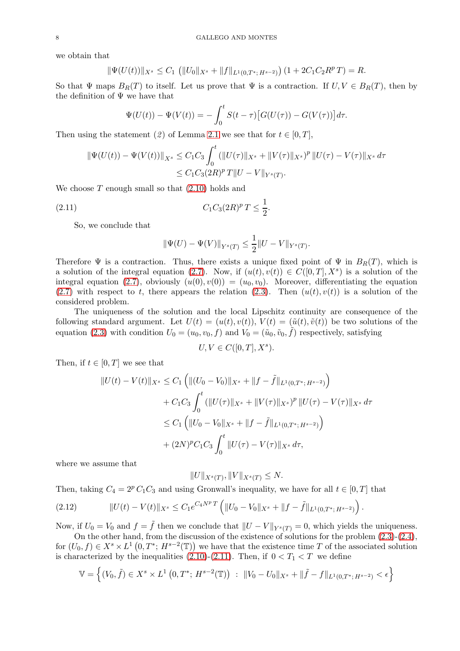we obtain that

$$
\|\Psi(U(t))\|_{X^s} \leq C_1 \left( \|U_0\|_{X^s} + \|f\|_{L^1(0,T^*;H^{s-2})} \right) \left(1 + 2C_1C_2R^p\right) = R.
$$

So that  $\Psi$  maps  $B_R(T)$  to itself. Let us prove that  $\Psi$  is a contraction. If  $U, V \in B_R(T)$ , then by the definition of  $\Psi$  we have that

$$
\Psi(U(t)) - \Psi(V(t)) = -\int_0^t S(t-\tau) \left[ G(U(\tau)) - G(V(\tau)) \right] d\tau.
$$

Then using the statement (2) of Lemma [2.1](#page-5-3) we see that for  $t \in [0, T]$ ,

$$
\|\Psi(U(t)) - \Psi(V(t))\|_{X^s} \leq C_1 C_3 \int_0^t (\|U(\tau)\|_{X^s} + \|V(\tau)\|_{X^s})^p \|U(\tau) - V(\tau)\|_{X^s} d\tau
$$
  

$$
\leq C_1 C_3 (2R)^p T \|U - V\|_{Y^s(T)}.
$$

We choose  $T$  enough small so that  $(2.10)$  holds and

(2.11) 
$$
C_1 C_3 (2R)^p T \leq \frac{1}{2}.
$$

So, we conclude that

<span id="page-7-0"></span>
$$
\|\Psi(U) - \Psi(V)\|_{Y^{s}(T)} \le \frac{1}{2} \|U - V\|_{Y^{s}(T)}.
$$

Therefore  $\Psi$  is a contraction. Thus, there exists a unique fixed point of  $\Psi$  in  $B_R(T)$ , which is a solution of the integral equation [\(2.7\)](#page-6-2). Now, if  $(u(t), v(t)) \in C([0, T], X^s)$  is a solution of the integral equation [\(2.7\)](#page-6-2), obviously  $(u(0), v(0)) = (u_0, v_0)$ . Moreover, differentiating the equation [\(2.7\)](#page-6-2) with respect to t, there appears the relation [\(2.3\)](#page-5-1). Then  $(u(t), v(t))$  is a solution of the considered problem.

The uniqueness of the solution and the local Lipschitz continuity are consequence of the following standard argument. Let  $U(t) = (u(t), v(t)), V(t) = (\tilde{u}(t), \tilde{v}(t))$  be two solutions of the equation [\(2.3\)](#page-5-1) with condition  $U_0 = (u_0, v_0, f)$  and  $V_0 = (\tilde{u}_0, \tilde{v}_0, \tilde{f})$  respectively, satisfying

$$
U,V\in C([0,T],X^s).
$$

Then, if  $t \in [0, T]$  we see that

$$
||U(t) - V(t)||_{X^{s}} \leq C_{1} \left( ||(U_{0} - V_{0})||_{X^{s}} + ||f - \tilde{f}||_{L^{1}(0,T^{*};H^{s-2})} \right)
$$
  
+  $C_{1}C_{3} \int_{0}^{t} (||U(\tau)||_{X^{s}} + ||V(\tau)||_{X^{s}})^{p} ||U(\tau) - V(\tau)||_{X^{s}} d\tau$   
 $\leq C_{1} \left( ||U_{0} - V_{0}||_{X^{s}} + ||f - \tilde{f}||_{L^{1}(0,T^{*};H^{s-2})} \right)$   
+  $(2N)^{p}C_{1}C_{3} \int_{0}^{t} ||U(\tau) - V(\tau)||_{X^{s}} d\tau,$ 

where we assume that

$$
||U||_{X^s(T)}, ||V||_{X^s(T)} \leq N.
$$

Then, taking  $C_4 = 2^p C_1 C_3$  and using Gronwall's inequality, we have for all  $t \in [0, T]$  that

<span id="page-7-1"></span>
$$
(2.12) \t\t\t ||U(t) - V(t)||_{X^s} \leq C_1 e^{C_4 N^p T} \left( ||U_0 - V_0||_{X^s} + ||f - \tilde{f}||_{L^1(0,T^*;H^{s-2})} \right).
$$

Now, if  $U_0 = V_0$  and  $f = \tilde{f}$  then we conclude that  $||U - V||_{Y^s(T)} = 0$ , which yields the uniqueness. On the other hand, from the discussion of the existence of solutions for the problem [\(2.3\)](#page-5-1)-[\(2.4\)](#page-5-2),

for  $(U_0, f) \in X^s \times L^1(0, T^*; H^{s-2}(\mathbb{T}))$  we have that the existence time T of the associated solution is characterized by the inequalities [\(2.10\)](#page-6-1)-[\(2.11\)](#page-7-0). Then, if  $0 < T_1 < T$  we define

$$
\mathbb{V} = \left\{ (V_0, \tilde{f}) \in X^s \times L^1(0, T^*; H^{s-2}(\mathbb{T})) : ||V_0 - U_0||_{X^s} + ||\tilde{f} - f||_{L^1(0, T^*; H^{s-2})} < \epsilon \right\}
$$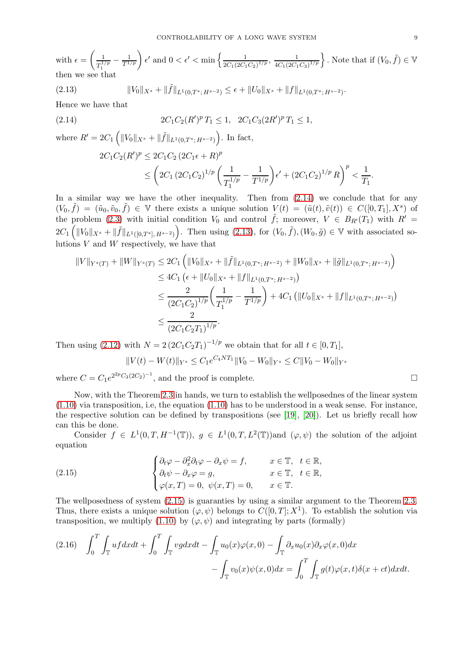with  $\epsilon =$  $\frac{1}{1}$  $\frac{1}{T_1^{1/p}} - \frac{1}{T^{1/p}}$   $\epsilon'$  and  $0 < \epsilon' < \min \left\{ \frac{1}{2C_1(2C_1)} \right\}$  $\frac{1}{2C_1(2C_1C_2)^{1/p}}, \frac{1}{4C_1(2C_1)}$  $\frac{1}{4C_1(2C_1C_3)^{1/p}}\bigg\}$ . Note that if  $(V_0,\tilde{f})\in\mathbb{V}$ then we see that

<span id="page-8-1"></span>(2.13) 
$$
||V_0||_{X^s} + ||\tilde{f}||_{L^1(0,T^*;H^{s-2})} \leq \epsilon + ||U_0||_{X^s} + ||f||_{L^1(0,T^*;H^{s-2})}.
$$

Hence we have that

(2.14) 
$$
2C_1C_2(R')^p T_1 \leq 1, \ \ 2C_1C_3(2R')^p T_1 \leq 1,
$$

where  $R' = 2C_1 \left( ||V_0||_{X^s} + ||\tilde{f}||_{L^1(0,T^*;H^{s-2})} \right)$ . In fact,

<span id="page-8-0"></span>
$$
2C_1C_2(R')^p \le 2C_1C_2 (2C_1\epsilon + R)^p
$$
  
\$\le \left(2C\_1 (2C\_1C\_2)^{1/p} \left(\frac{1}{T\_1^{1/p}} - \frac{1}{T^{1/p}}\right)\epsilon' + (2C\_1C\_2)^{1/p} R\right)^p < \frac{1}{T\_1}.

In a similar way we have the other inequality. Then from  $(2.14)$  we conclude that for any  $(V_0, \tilde{f}) = (\tilde{u}_0, \tilde{v}_0, \tilde{f}) \in V$  there exists a unique solution  $V(t) = (\tilde{u}(t), \tilde{v}(t)) \in C([0, T_1], X^s)$  of the problem [\(2.3\)](#page-5-1) with initial condition  $V_0$  and control  $\tilde{f}$ ; moreover,  $V \in B_{R'}(T_1)$  with  $R' =$  $2C_1\left(\|V_0\|_{X^s}+\|\tilde{f}\|_{L^1([0,T^*],H^{s-2})}\right)$ . Then using  $(2.13)$ , for  $(V_0,\tilde{f}), (W_0,\tilde{g})\in\mathbb{V}$  with associated solutions  $V$  and  $W$  respectively, we have that

$$
||V||_{Y^{s}(T)} + ||W||_{Y^{s}(T)} \leq 2C_{1} \left( ||V_{0}||_{X^{s}} + ||\tilde{f}||_{L^{1}(0,T^{*};H^{s-2})} + ||W_{0}||_{X^{s}} + ||\tilde{g}||_{L^{1}(0,T^{*};H^{s-2})} \right)
$$
  
\n
$$
\leq 4C_{1} \left( \epsilon + ||U_{0}||_{X^{s}} + ||f||_{L^{1}(0,T^{*};H^{s-2})} \right)
$$
  
\n
$$
\leq \frac{2}{(2C_{1}C_{2})^{1/p}} \left( \frac{1}{T_{1}^{1/p}} - \frac{1}{T^{1/p}} \right) + 4C_{1} \left( ||U_{0}||_{X^{s}} + ||f||_{L^{1}(0,T^{*};H^{s-2})} \right)
$$
  
\n
$$
\leq \frac{2}{(2C_{1}C_{2}T_{1})^{1/p}}.
$$

Then using (2.[12\)](#page-7-1) with  $N = 2 (2C_1C_2T_1)^{-1/p}$  we obtain that for all  $t \in [0, T_1]$ ,

$$
||V(t) – W(t)||_{Y^{s}} \leq C_1 e^{C_4 N T_1} ||V_0 – W_0||_{Y^{s}} \leq C ||V_0 – W_0||_{Y^{s}}
$$

where  $C = C_1 e^{2^{2p} C_3 (2C_2)^{-1}}$ , and the proof is complete.

Now, with the Theorem [2.3](#page-6-3) in hands, we turn to establish the wellposednes of the linear system  $(1.10)$  via transposition, i.e, the equation  $(1.10)$  has to be understood in a weak sense. For instance, the respective solution can be defined by transpositions (see [\[19\]](#page-25-14), [\[20\]](#page-25-15)). Let us briefly recall how can this be done.

Consider  $f \in L^1(0,T,H^{-1}(\mathbb{T}))$ ,  $g \in L^1(0,T,L^2(\mathbb{T}))$  and  $(\varphi,\psi)$  the solution of the adjoint equation

<span id="page-8-2"></span>(2.15) 
$$
\begin{cases} \partial_t \varphi - \partial_x^2 \partial_t \varphi - \partial_x \psi = f, & x \in \mathbb{T}, \quad t \in \mathbb{R}, \\ \partial_t \psi - \partial_x \varphi = g, & x \in \mathbb{T}, \quad t \in \mathbb{R}, \\ \varphi(x, T) = 0, \quad \psi(x, T) = 0, & x \in \mathbb{T}. \end{cases}
$$

The wellposedness of system [\(2.15\)](#page-8-2) is guaranties by using a similar argument to the Theorem [2.3.](#page-6-3) Thus, there exists a unique solution  $(\varphi, \psi)$  belongs to  $C([0,T]; X^1)$ . To establish the solution via transposition, we multiply [\(1.10\)](#page-3-0) by  $(\varphi, \psi)$  and integrating by parts (formally)

$$
(2.16) \quad \int_0^T \int_{\mathbb{T}} u f dx dt + \int_0^T \int_{\mathbb{T}} v g dx dt - \int_{\mathbb{T}} u_0(x) \varphi(x, 0) - \int_{\mathbb{T}} \partial_x u_0(x) \partial_x \varphi(x, 0) dx - \int_{\mathbb{T}} v_0(x) \psi(x, 0) dx = \int_0^T \int_{\mathbb{T}} g(t) \varphi(x, t) \delta(x + ct) dx dt.
$$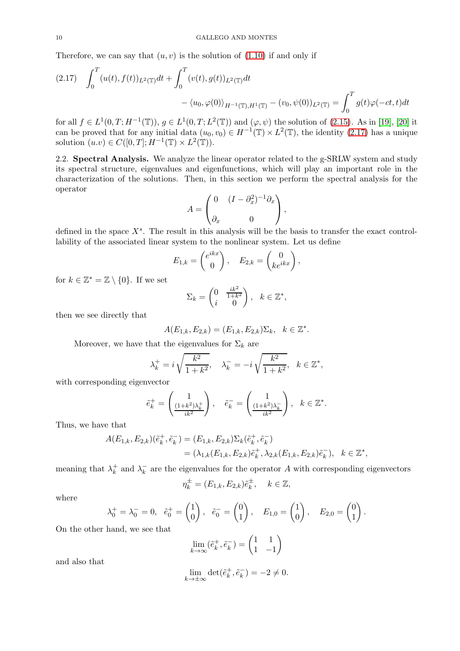Therefore, we can say that  $(u, v)$  is the solution of  $(1.10)$  if and only if

<span id="page-9-0"></span>
$$
(2.17) \quad \int_0^T (u(t), f(t))_{L^2(\mathbb{T})} dt + \int_0^T (v(t), g(t))_{L^2(\mathbb{T})} dt - \langle u_0, \varphi(0) \rangle_{H^{-1}(\mathbb{T}), H^1(\mathbb{T})} - (v_0, \psi(0))_{L^2(\mathbb{T})} = \int_0^T g(t) \varphi(-ct, t) dt
$$

for all  $f \in L^1(0,T; H^{-1}(\mathbb{T}))$ ,  $g \in L^1(0,T; L^2(\mathbb{T}))$  and  $(\varphi, \psi)$  the solution of [\(2.15\)](#page-8-2). As in [\[19\]](#page-25-14), [\[20\]](#page-25-15) it can be proved that for any initial data  $(u_0, v_0) \in H^{-1}(\mathbb{T}) \times L^2(\mathbb{T})$ , the identity  $(2.17)$  has a unique solution  $(u.v) \in C([0,T]; H^{-1}(\mathbb{T}) \times L^2(\mathbb{T})).$ 

2.2. Spectral Analysis. We analyze the linear operator related to the g-SRLW system and study its spectral structure, eigenvalues and eigenfunctions, which will play an important role in the characterization of the solutions. Then, in this section we perform the spectral analysis for the operator

$$
A = \begin{pmatrix} 0 & (I - \partial_x^2)^{-1} \partial_x \\ \partial_x & 0 \end{pmatrix},
$$

defined in the space  $X<sup>s</sup>$ . The result in this analysis will be the basis to transfer the exact controllability of the associated linear system to the nonlinear system. Let us define

$$
E_{1,k} = \begin{pmatrix} e^{ikx} \\ 0 \end{pmatrix}, \quad E_{2,k} = \begin{pmatrix} 0 \\ ke^{ikx} \end{pmatrix},
$$

for  $k \in \mathbb{Z}^* = \mathbb{Z} \setminus \{0\}$ . If we set

$$
\Sigma_k = \begin{pmatrix} 0 & \frac{ik^2}{1+k^2} \\ i & 0 \end{pmatrix}, \quad k \in \mathbb{Z}^*,
$$

then we see directly that

$$
A(E_{1,k}, E_{2,k}) = (E_{1,k}, E_{2,k})\Sigma_k, \quad k \in \mathbb{Z}^*.
$$

Moreover, we have that the eigenvalues for  $\Sigma_k$  are

$$
\lambda_k^+ = i \sqrt{\frac{k^2}{1+k^2}}, \quad \lambda_k^- = -i \sqrt{\frac{k^2}{1+k^2}}, \quad k \in \mathbb{Z}^*,
$$

with corresponding eigenvector

$$
\tilde{e}_k^+ = \left(\frac{1}{\frac{(1+k^2)\lambda_k^+}{ik^2}}\right), \quad \tilde{e}_k^- = \left(\frac{1}{\frac{(1+k^2)\lambda_k^-}{ik^2}}\right), \quad k \in \mathbb{Z}^*.
$$

Thus, we have that

$$
A(E_{1,k}, E_{2,k})(\tilde{e}_k^+, \tilde{e}_k^-) = (E_{1,k}, E_{2,k})\Sigma_k(\tilde{e}_k^+, \tilde{e}_k^-)
$$
  
=  $(\lambda_{1,k}(E_{1,k}, E_{2,k})\tilde{e}_k^+, \lambda_{2,k}(E_{1,k}, E_{2,k})\tilde{e}_k^-), \quad k \in \mathbb{Z}^*,$ 

meaning that  $\lambda_k^+$  $\lambda_k^+$  and  $\lambda_k^-$  are the eigenvalues for the operator A with corresponding eigenvectors

$$
\eta_k^{\pm} = (E_{1,k}, E_{2,k})\tilde{e}_k^{\pm}, \quad k \in \mathbb{Z},
$$

where

$$
\lambda_0^+ = \lambda_0^- = 0, \quad \tilde{e}_0^+ = \begin{pmatrix} 1 \\ 0 \end{pmatrix}, \quad \tilde{e}_0^- = \begin{pmatrix} 0 \\ 1 \end{pmatrix}, \quad E_{1,0} = \begin{pmatrix} 1 \\ 0 \end{pmatrix}, \quad E_{2,0} = \begin{pmatrix} 0 \\ 1 \end{pmatrix}
$$

.

On the other hand, we see that

$$
\lim_{k\to\infty}(\tilde{e}_k^+,\tilde{e}_k^-)=\begin{pmatrix}1&1\\1&-1\end{pmatrix}
$$

and also that

$$
\lim_{k \to \pm \infty} \det(\tilde{e}_k^+, \tilde{e}_k^-) = -2 \neq 0.
$$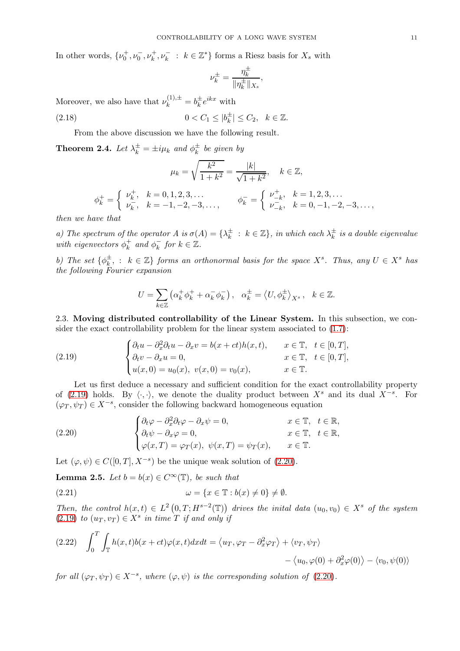In other words,  $\{\nu_0^+, \nu_0^-, \nu_k^+, \nu_k^- : k \in \mathbb{Z}^*\}$  forms a Riesz basis for  $X_s$  with

$$
\nu_k^\pm = \frac{\eta_k^\pm}{\|\eta_k^\pm\|_{X_s}},
$$

Moreover, we also have that  $\nu_k^{(1),\pm} = b_k^{\pm} e^{ikx}$  with

(2.18) 
$$
0 < C_1 \leq |b_k^{\pm}| \leq C_2, \quad k \in \mathbb{Z}.
$$

From the above discussion we have the following result.

**Theorem 2.4.** Let  $\lambda_k^{\pm} = \pm i \mu_k$  and  $\phi_k^{\pm}$  be given by

$$
\mu_k = \sqrt{\frac{k^2}{1+k^2}} = \frac{|k|}{\sqrt{1+k^2}}, \quad k \in \mathbb{Z},
$$
  

$$
\phi_k^+ = \begin{cases} \nu_k^+, & k = 0, 1, 2, 3, \dots \\ \nu_k^-, & k = -1, -2, -3, \dots, \end{cases} \qquad \phi_k^- = \begin{cases} \nu_{-k}^+, & k = 1, 2, 3, \dots \\ \nu_{-k}^-, & k = 0, -1, -2, -3, \dots, \end{cases}
$$

then we have that

a) The spectrum of the operator  $A$  is  $\sigma(A) = {\lambda_k^{\pm}} : k \in \mathbb{Z}$ , in which each  $\lambda_k^{\pm}$  is a double eigenvalue with eigenvectors  $\phi_k^+$  $\underset{k}{\sharp}$  and  $\phi_k^-$  for  $k \in \mathbb{Z}$ .

b) The set  $\{\phi_k^{\pm}, : k \in \mathbb{Z}\}\$  forms an orthonormal basis for the space  $X^s$ . Thus, any  $U \in X^s$  has the following Fourier expansion

<span id="page-10-0"></span>
$$
U = \sum_{k \in \mathbb{Z}} \left( \alpha_k^+ \phi_k^+ + \alpha_k^- \phi_k^- \right), \quad \alpha_k^{\pm} = \left\langle U, \phi_k^{\pm} \right\rangle_{X^s}, \quad k \in \mathbb{Z}.
$$

2.3. Moving distributed controllability of the Linear System. In this subsection, we consider the exact controllability problem for the linear system associated to [\(1.7\)](#page-2-0):

(2.19) 
$$
\begin{cases} \partial_t u - \partial_x^2 \partial_t u - \partial_x v = b(x + ct)h(x, t), & x \in \mathbb{T}, \quad t \in [0, T], \\ \partial_t v - \partial_x u = 0, & x \in \mathbb{T}, \quad t \in [0, T], \\ u(x, 0) = u_0(x), \quad v(x, 0) = v_0(x), & x \in \mathbb{T}. \end{cases}
$$

Let us first deduce a necessary and sufficient condition for the exact controllability property of [\(2.19\)](#page-10-0) holds. By  $\langle \cdot, \cdot \rangle$ , we denote the duality product between  $X^s$  and its dual  $X^{-s}$ . For  $(\varphi_T, \psi_T) \in X^{-s}$ , consider the following backward homogeneous equation

<span id="page-10-1"></span>(2.20) 
$$
\begin{cases} \partial_t \varphi - \partial_x^2 \partial_t \varphi - \partial_x \psi = 0, & x \in \mathbb{T}, \quad t \in \mathbb{R}, \\ \partial_t \psi - \partial_x \varphi = 0, & x \in \mathbb{T}, \quad t \in \mathbb{R}, \\ \varphi(x, T) = \varphi_T(x), \quad \psi(x, T) = \psi_T(x), & x \in \mathbb{T}. \end{cases}
$$

Let  $(\varphi, \psi) \in C([0, T], X^{-s})$  be the unique weak solution of  $(2.20)$ .

<span id="page-10-3"></span>**Lemma 2.5.** Let  $b = b(x) \in C^{\infty}(\mathbb{T})$ , be such that

(2.21) 
$$
\omega = \{x \in \mathbb{T} : b(x) \neq 0\} \neq \emptyset.
$$

Then, the control  $h(x,t) \in L^2(0,T;H^{s-2}(\mathbb{T}))$  drives the inital data  $(u_0, v_0) \in X^s$  of the system  $(2.19)$  to  $(u_T, v_T) \in X^s$  in time  $T$  if and only if

<span id="page-10-2"></span>(2.22) 
$$
\int_0^T \int_{\mathbb{T}} h(x,t)b(x+ct)\varphi(x,t)dxdt = \langle u_T, \varphi_T - \partial_x^2 \varphi_T \rangle + \langle v_T, \psi_T \rangle - \langle u_0, \varphi(0) + \partial_x^2 \varphi(0) \rangle - \langle v_0, \psi(0) \rangle
$$

for all  $(\varphi_T, \psi_T) \in X^{-s}$ , where  $(\varphi, \psi)$  is the corresponding solution of  $(2.20)$ .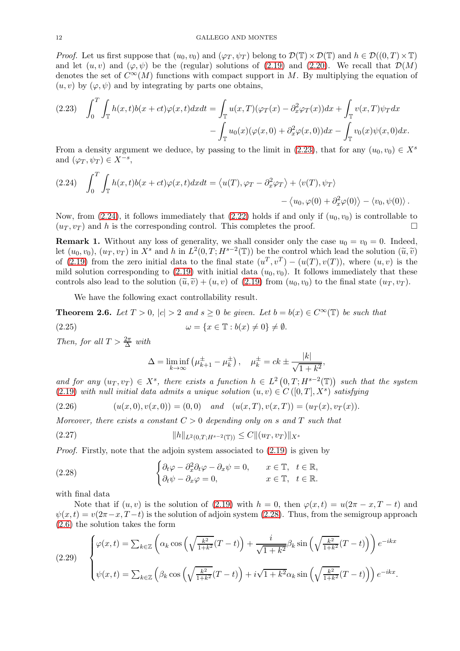*Proof.* Let us first suppose that  $(u_0, v_0)$  and  $(\varphi_T, \psi_T)$  belong to  $\mathcal{D}(\mathbb{T}) \times \mathcal{D}(\mathbb{T})$  and  $h \in \mathcal{D}((0, T) \times \mathbb{T})$ and let  $(u, v)$  and  $(\varphi, \psi)$  be the (regular) solutions of [\(2.19\)](#page-10-0) and [\(2.20\)](#page-10-1). We recall that  $\mathcal{D}(M)$ denotes the set of  $C^{\infty}(M)$  functions with compact support in M. By multiplying the equation of  $(u, v)$  by  $(\varphi, \psi)$  and by integrating by parts one obtains,

<span id="page-11-0"></span>
$$
(2.23) \quad \int_0^T \int_{\mathbb{T}} h(x,t)b(x+ct)\varphi(x,t)dxdt = \int_{\mathbb{T}} u(x,T)(\varphi_T(x) - \partial_x^2 \varphi_T(x))dx + \int_{\mathbb{T}} v(x,T)\psi_T dx - \int_{\mathbb{T}} u_0(x)(\varphi(x,0) + \partial_x^2 \varphi(x,0))dx - \int_{\mathbb{T}} v_0(x)\psi(x,0)dx.
$$

From a density argument we deduce, by passing to the limit in [\(2.23\)](#page-11-0), that for any  $(u_0, v_0) \in X^s$ and  $(\varphi_T, \psi_T) \in X^{-s}$ ,

<span id="page-11-1"></span>(2.24) 
$$
\int_0^T \int_{\mathbb{T}} h(x,t)b(x+ct)\varphi(x,t)dxdt = \langle u(T), \varphi_T - \partial_x^2 \varphi_T \rangle + \langle v(T), \psi_T \rangle - \langle u_0, \varphi(0) + \partial_x^2 \varphi(0) \rangle - \langle v_0, \psi(0) \rangle.
$$

Now, from [\(2.24\)](#page-11-1), it follows immediately that [\(2.22\)](#page-10-2) holds if and only if  $(u_0, v_0)$  is controllable to  $(u_T, v_T)$  and h is the corresponding control. This completes the proof.

**Remark 1.** Without any loss of generality, we shall consider only the case  $u_0 = v_0 = 0$ . Indeed, let  $(u_0, v_0)$ ,  $(u_T, v_T)$  in  $X^s$  and h in  $L^2(0, T; H^{s-2}(\mathbb{T}))$  be the control which lead the solution  $(\tilde{u}, \tilde{v})$ of [\(2.19\)](#page-10-0) from the zero initial data to the final state  $(u^T, v^T) - (u(T), v(T))$ , where  $(u, v)$  is the mild solution corresponding to  $(2.19)$  with initial data  $(u_0, v_0)$ . It follows immediately that these controls also lead to the solution  $(\tilde{u}, \tilde{v}) + (u, v)$  of [\(2.19\)](#page-10-0) from  $(u_0, v_0)$  to the final state  $(u_T, v_T)$ .

We have the following exact controllability result.

<span id="page-11-5"></span>**Theorem 2.6.** Let  $T > 0$ ,  $|c| > 2$  and  $s \ge 0$  be given. Let  $b = b(x) \in C^{\infty}(\mathbb{T})$  be such that

(2.25) 
$$
\omega = \{x \in \mathbb{T} : b(x) \neq 0\} \neq \emptyset.
$$

Then, for all  $T > \frac{2\pi}{\Delta}$  with

<span id="page-11-3"></span>
$$
\Delta = \liminf_{k \to \infty} \left( \mu_{k+1}^{\pm} - \mu_k^{\pm} \right), \quad \mu_k^{\pm} = ck \pm \frac{|k|}{\sqrt{1 + k^2}}
$$

,

and for any  $(u_T, v_T) \in X^s$ , there exists a function  $h \in L^2(0, T; H^{s-2}(\mathbb{T}))$  such that the system [\(2.19\)](#page-10-0) with null initial data admits a unique solution  $(u, v) \in C([0, T], X^s)$  satisfying

(2.26) 
$$
(u(x,0),v(x,0)) = (0,0) \quad and \quad (u(x,T),v(x,T)) = (u_T(x),v_T(x)).
$$

Moreover, there exists a constant  $C > 0$  depending only on s and T such that

$$
(2.27) \t\t\t\t\t ||h||_{L^{2}(0,T;H^{s-2}(\mathbb{T}))} \leq C||(u_T, v_T)||_{X^{s}}
$$

Proof. Firstly, note that the adjoin system associated to [\(2.19\)](#page-10-0) is given by

<span id="page-11-2"></span>(2.28) 
$$
\begin{cases} \partial_t \varphi - \partial_x^2 \partial_t \varphi - \partial_x \psi = 0, & x \in \mathbb{T}, \quad t \in \mathbb{R}, \\ \partial_t \psi - \partial_x \varphi = 0, & x \in \mathbb{T}, \quad t \in \mathbb{R}. \end{cases}
$$

with final data

Note that if  $(u, v)$  is the solution of [\(2.19\)](#page-10-0) with  $h = 0$ , then  $\varphi(x, t) = u(2\pi - x, T - t)$  and  $\psi(x,t) = v(2\pi - x, T - t)$  is the solution of adjoin system [\(2.28\)](#page-11-2). Thus, from the semigroup approach [\(2.6\)](#page-6-4) the solution takes the form

<span id="page-11-4"></span>(2.29) 
$$
\begin{cases} \varphi(x,t) = \sum_{k \in \mathbb{Z}} \left( \alpha_k \cos\left(\sqrt{\frac{k^2}{1+k^2}}(T-t)\right) + \frac{i}{\sqrt{1+k^2}} \beta_k \sin\left(\sqrt{\frac{k^2}{1+k^2}}(T-t)\right) \right) e^{-ikx} \\ \psi(x,t) = \sum_{k \in \mathbb{Z}} \left( \beta_k \cos\left(\sqrt{\frac{k^2}{1+k^2}}(T-t)\right) + i\sqrt{1+k^2} \alpha_k \sin\left(\sqrt{\frac{k^2}{1+k^2}}(T-t)\right) \right) e^{-ikx} .\end{cases}
$$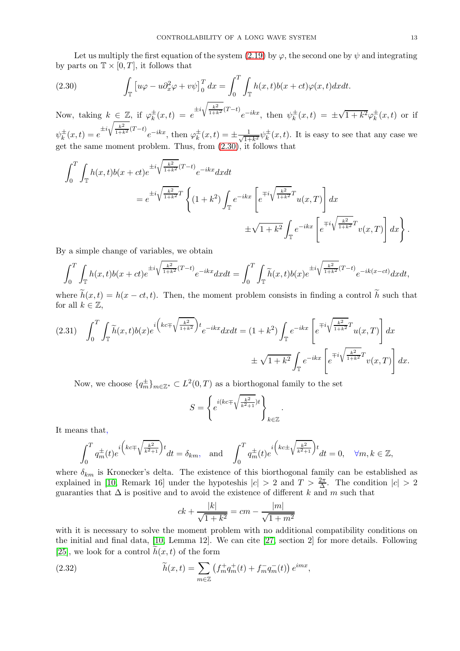Let us multiply the first equation of the system [\(2.19\)](#page-10-0) by  $\varphi$ , the second one by  $\psi$  and integrating by parts on  $\mathbb{T} \times [0,T]$ , it follows that

<span id="page-12-0"></span>(2.30) 
$$
\int_{\mathbb{T}} \left[ u\varphi - u \partial_x^2 \varphi + v\psi \right]_0^T dx = \int_0^T \int_{\mathbb{T}} h(x,t)b(x+ct)\varphi(x,t)dxdt.
$$

Now, taking  $k \in \mathbb{Z}$ , if  $\varphi_k^{\pm}(x,t) = e^{\pm i \sqrt{\frac{k^2}{1+k^2}}(T-t)} e^{-ikx}$ , then  $\psi_k^{\pm}(x,t) = \pm \sqrt{1+k^2} \varphi_k^{\pm}(x,t)$  or if  $\psi_k^{\pm}(x,t) = e^{\pm i \sqrt{\frac{k^2}{1+k^2}}(T-t)} e^{-ikx}$ , then  $\varphi_k^{\pm}(x,t) = \pm \frac{1}{\sqrt{1+k^2}}$  $\frac{1}{1+k^2}\psi_k^{\pm}(x,t)$ . It is easy to see that any case we get the same moment problem. Thus, from [\(2.30\)](#page-12-0), it follows that

$$
\int_{0}^{T} \int_{\mathbb{T}} h(x,t)b(x+ct)e^{\pm i\sqrt{\frac{k^{2}}{1+k^{2}}}(T-t)}e^{-ikx}dxdt
$$
\n
$$
= e^{\pm i\sqrt{\frac{k^{2}}{1+k^{2}}}T} \left\{ (1+k^{2}) \int_{\mathbb{T}} e^{-ikx} \left[ e^{\mp i\sqrt{\frac{k^{2}}{1+k^{2}}}T}u(x,T) \right] dx \right. \\
\left. \pm \sqrt{1+k^{2}} \int_{\mathbb{T}} e^{-ikx} \left[ e^{\mp i\sqrt{\frac{k^{2}}{1+k^{2}}}T}v(x,T) \right] dx \right\}.
$$

By a simple change of variables, we obtain

$$
\int_0^T \int_{\mathbb{T}} h(x,t)b(x+ct)e^{\pm i\sqrt{\frac{k^2}{1+k^2}}(T-t)}e^{-ikx}dxdt = \int_0^T \int_{\mathbb{T}} \widetilde{h}(x,t)b(x)e^{\pm i\sqrt{\frac{k^2}{1+k^2}}(T-t)}e^{-ik(x-ct)}dxdt,
$$

where  $h(x, t) = h(x - ct, t)$ . Then, the moment problem consists in finding a control h such that for all  $k \in \mathbb{Z}$ ,

<span id="page-12-1"></span>
$$
(2.31) \quad \int_0^T \int_{\mathbb{T}} \widetilde{h}(x,t)b(x)e^{i\left(kc\mp\sqrt{\frac{k^2}{1+k^2}}\right)t}e^{-ikx}dxdt = (1+k^2)\int_{\mathbb{T}} e^{-ikx}\left[e^{\mp i\sqrt{\frac{k^2}{1+k^2}}T}u(x,T)\right]dx
$$

$$
\pm \sqrt{1+k^2}\int_{\mathbb{T}} e^{-ikx}\left[e^{\mp i\sqrt{\frac{k^2}{1+k^2}}T}v(x,T)\right]dx.
$$

Now, we choose  ${q_m^{\pm}}_{m \in \mathbb{Z}^*} \subset L^2(0,T)$  as a biorthogonal family to the set

$$
S = \left\{ e^{i(kc \mp \sqrt{\frac{k^2}{k^2+1}})t} \right\}_{k \in \mathbb{Z}}
$$

.

It means that,

$$
\int_0^T q_m^{\pm}(t)e^{i\left(kc\mp\sqrt{\frac{k^2}{k^2+1}}\right)t}dt = \delta_{km}, \text{ and } \int_0^T q_m^{\pm}(t)e^{i\left(kc\pm\sqrt{\frac{k^2}{k^2+1}}\right)t}dt = 0, \quad \forall m, k \in \mathbb{Z},
$$

where  $\delta_{km}$  is Kronecker's delta. The existence of this biorthogonal family can be established as explained in [\[10,](#page-25-5) Remark 16] under the hypoteshis  $|c| > 2$  and  $T > \frac{2\pi}{\Delta}$ . The condition  $|c| > 2$ guaranties that  $\Delta$  is positive and to avoid the existence of different k and m such that

<span id="page-12-2"></span>
$$
ck + \frac{|k|}{\sqrt{1+k^2}} = cm - \frac{|m|}{\sqrt{1+m^2}}
$$

with it is necessary to solve the moment problem with no additional compatibility conditions on the initial and final data, [\[10,](#page-25-5) Lemma 12]. We can cite [\[27,](#page-25-16) section 2] for more details. Following [\[25\]](#page-25-7), we look for a control  $h(x, t)$  of the form

(2.32) 
$$
\widetilde{h}(x,t) = \sum_{m \in \mathbb{Z}} \left( f_m^+ q_m^+(t) + f_m^- q_m^-(t) \right) e^{imx},
$$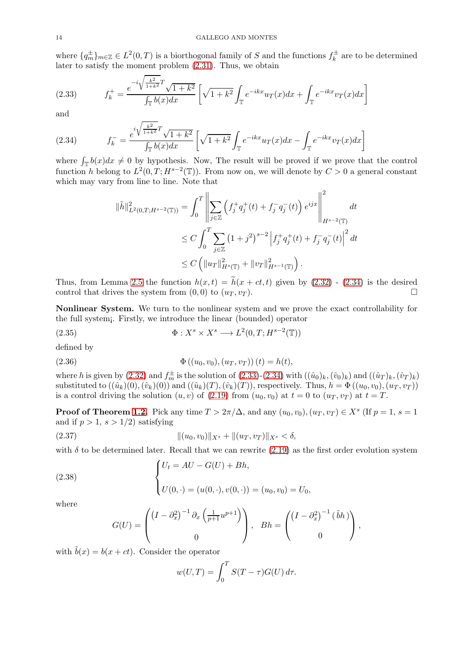where  $\{q_m^{\pm}\}_{m\in\mathbb{Z}} \in L^2(0,T)$  is a biorthogonal family of S and the functions  $f_k^{\pm}$  are to be determined later to satisfy the moment problem [\(2.31\)](#page-12-1). Thus, we obtain

<span id="page-13-1"></span>(2.33) 
$$
f_k^+ = \frac{e^{-i\sqrt{\frac{k^2}{1+k^2}}T}\sqrt{1+k^2}}{\int_{\mathbb{T}} b(x)dx} \left[ \sqrt{1+k^2} \int_{\mathbb{T}} e^{-ikx} u_T(x) dx + \int_{\mathbb{T}} e^{-ikx} v_T(x) dx \right]
$$

and

<span id="page-13-0"></span>(2.34) 
$$
f_{k}^{-} = \frac{e^{i\sqrt{\frac{k^{2}}{1+k^{2}}}T}\sqrt{1+k^{2}}}{\int_{\mathbb{T}} b(x)dx} \left[\sqrt{1+k^{2}}\int_{\mathbb{T}} e^{-ikx}u_{T}(x)dx - \int_{\mathbb{T}} e^{-ikx}v_{T}(x)dx\right]
$$

where  $\int_{\mathbb{T}} b(x)dx \neq 0$  by hypothesis. Now, The result will be proved if we prove that the control function h belong to  $L^2(0,T;H^{s-2}(\mathbb{T}))$ . From now on, we will denote by  $C>0$  a general constant which may vary from line to line. Note that

$$
\|\tilde{h}\|_{L^{2}(0,T;H^{s-2}(\mathbb{T}))}^{2} = \int_{0}^{T} \left\| \sum_{j\in\mathbb{Z}} \left( f_{j}^{+}q_{j}^{+}(t) + f_{j}^{-}q_{j}^{-}(t) \right) e^{ijx} \right\|_{H^{s-2}(\mathbb{T})}^{2} dt
$$
  

$$
\leq C \int_{0}^{T} \sum_{j\in\mathbb{Z}} \left( 1 + j^{2} \right)^{s-2} \left| f_{j}^{+}q_{j}^{+}(t) + f_{j}^{-}q_{j}^{-}(t) \right|^{2} dt
$$
  

$$
\leq C \left( \| u_{T} \|_{H^{s}(\mathbb{T})}^{2} + \| v_{T} \|_{H^{s-1}(\mathbb{T})}^{2} \right).
$$

Thus, from Lemma [2.5](#page-10-3) the function  $h(x, t) = \tilde{h}(x + ct, t)$  given by [\(2.32\)](#page-12-2) - [\(2.34\)](#page-13-0) is the desired control that drives the system from  $(0, 0)$  to  $(u_T, v_T)$ . control that drives the system from  $(0, 0)$  to  $(u_T, v_T)$ .

Nonlinear System. We turn to the nonlinear system and we prove the exact controllability for the full system¡. Firstly, we introduce the linear (bounded) operator

(2.35) 
$$
\Phi: X^s \times X^s \longrightarrow L^2(0,T;H^{s-2}(\mathbb{T}))
$$

defined by

(2.36) 
$$
\Phi ((u_0, v_0), (u_T, v_T)) (t) = h(t),
$$

where h is given by [\(2.32\)](#page-12-2) and  $f_m^{\pm}$  is the solution of [\(2.33\)](#page-13-1)-[\(2.34\)](#page-13-0) with  $((\hat{u}_0)_k,(\hat{v}_0)_k)$  and  $((\hat{u}_T)_k,(\hat{v}_T)_k)$ substituted to  $((\hat{u}_k)(0),(\hat{v}_k)(0))$  and  $((\hat{u}_k)(T),(\hat{v}_k)(T))$ , respectively. Thus,  $h = \Phi((u_0, v_0), (u_T, v_T))$ is a control driving the solution  $(u, v)$  of [\(2.19\)](#page-10-0) from  $(u_0, v_0)$  at  $t = 0$  to  $(u_T, v_T)$  at  $t = T$ .

**Proof of Theorem [1.2.](#page-3-2)** Pick any time  $T > 2\pi/\Delta$ , and any  $(u_0, v_0), (u_T, v_T) \in X^s$  (If  $p = 1, s = 1$ ) and if  $p > 1$ ,  $s > 1/2$ ) satisfying

(2.37) 
$$
\|(u_0, v_0)\|_{X^s} + \|(u_T, v_T)\|_{X^s} < \delta,
$$

with  $\delta$  to be determined later. Recall that we can rewrite [\(2.19\)](#page-10-0) as the first order evolution system

(2.38) 
$$
\begin{cases} U_t = AU - G(U) + Bh, \\ U(0, \cdot) = (u(0, \cdot), v(0, \cdot)) = (u_0, v_0) = U_0, \end{cases}
$$

where

$$
G(U) = \begin{pmatrix} \left(I - \partial_x^2\right)^{-1} \partial_x \left(\frac{1}{p+1} u^{p+1}\right) \\ 0 \end{pmatrix}, \quad Bh = \begin{pmatrix} \left(I - \partial_x^2\right)^{-1} (\tilde{b}h) \\ 0 \end{pmatrix},
$$

with  $\bar{b}(x) = b(x + ct)$ . Consider the operator

$$
w(U,T) = \int_0^T S(T-\tau)G(U) d\tau.
$$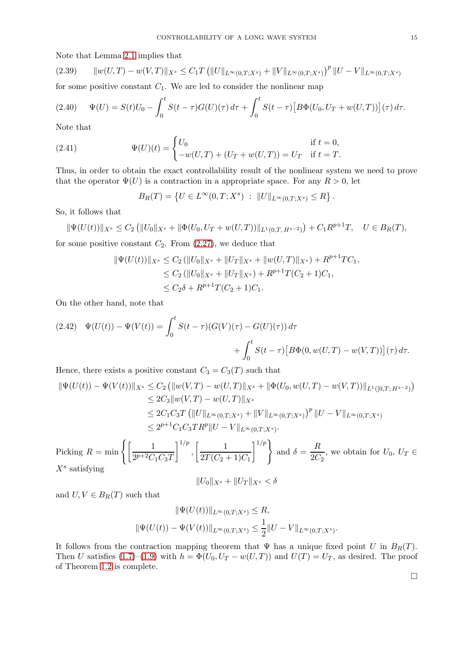Note that Lemma [2.1](#page-5-3) implies that

$$
(2.39) \qquad \|w(U,T) - w(V,T)\|_{X^s} \le C_1 T \left( \|U\|_{L^\infty(0,T;X^s)} + \|V\|_{L^\infty(0,T;X^s)} \right)^p \|U-V\|_{L^\infty(0,T;X^s)}
$$

for some positive constant  $C_1$ . We are led to consider the nonlinear map

$$
(2.40) \qquad \Psi(U) = S(t)U_0 - \int_0^t S(t-\tau)G(U)(\tau) d\tau + \int_0^t S(t-\tau) \left[ B\Phi(U_0, U_T + w(U,T)) \right](\tau) d\tau.
$$

Note that

(2.41) 
$$
\Psi(U)(t) = \begin{cases} U_0 & \text{if } t = 0, \\ -w(U, T) + (U_T + w(U, T)) = U_T & \text{if } t = T. \end{cases}
$$

Thus, in order to obtain the exact controllability result of the nonlinear system we need to prove that the operator  $\Psi(U)$  is a contraction in a appropriate space. For any  $R > 0$ , let

$$
B_R(T) = \{ U \in L^{\infty}(0,T;X^s) : ||U||_{L^{\infty}(0,T;X^s)} \leq R \}.
$$

So, it follows that

$$
\|\Psi(U(t))\|_{X^s} \leq C_2 \left( \|U_0\|_{X^s} + \|\Phi(U_0, U_T + w(U,T))\|_{L^1(0,T, H^{s-2})} \right) + C_1 R^{p+1} T, \quad U \in B_R(T),
$$

for some positive constant  $C_2$ . From  $(2.27)$ , we deduce that

$$
\|\Psi(U(t))\|_{X^s} \le C_2 \left( \|U_0\|_{X^s} + \|U_T\|_{X^s} + \|w(U,T)\|_{X^s} \right) + R^{p+1}TC_1,
$$
  
\n
$$
\le C_2 \left( \|U_0\|_{X^s} + \|U_T\|_{X^s} \right) + R^{p+1}T(C_2 + 1)C_1,
$$
  
\n
$$
\le C_2 \delta + R^{p+1}T(C_2 + 1)C_1.
$$

On the other hand, note that

(2.42) 
$$
\Psi(U(t)) - \Psi(V(t)) = \int_0^t S(t - \tau)(G(V)(\tau) - G(U)(\tau)) d\tau + \int_0^t S(t - \tau)[B\Phi(0, w(U, T) - w(V, T))](\tau) d\tau.
$$

Hence, there exists a positive constant  $C_3 = C_3(T)$  such that

$$
\|\Psi(U(t)) - \Psi(V(t))\|_{X^s} \le C_2 \left( \|w(V,T) - w(U,T)\|_{X^s} + \|\Phi(U_0, w(U,T) - w(V,T))\|_{L^1([0,T;H^{s-2})} \right)
$$
  
\n
$$
\le 2C_3 \|w(V,T) - w(U,T)\|_{X^s}
$$
  
\n
$$
\le 2C_1C_3T \left( \|U\|_{L^\infty(0,T;X^s)} + \|V\|_{L^\infty(0,T;X^s)} \right)^p \|U-V\|_{L^\infty(0,T;X^s)}
$$
  
\n
$$
\le 2^{p+1}C_1C_3TR^p \|U-V\|_{L^\infty(0,T;X^s)}.
$$

Picking  $R = \min \left\{ \left[ \frac{1}{2^{n+2}C} \right] \right\}$  $2^{p+2}C_1C_3T$  $1^{1/p}$ ,  $\begin{bmatrix} 1 \end{bmatrix}$  $2T(C_2 + 1)C_1$  $1/p$ and  $\delta = \frac{R}{20}$  $\frac{1}{2C_2}$ , we obtain for  $U_0, U_T \in$  $X^s$  satisfying

$$
||U_0||_{X^s} + ||U_T||_{X^s} < \delta
$$

and  $U, V \in B_R(T)$  such that

$$
\|\Psi(U(t))\|_{L^{\infty}(0,T;X^{s})} \leq R,
$$
  

$$
\|\Psi(U(t)) - \Psi(V(t))\|_{L^{\infty}(0,T;X^{s})} \leq \frac{1}{2} \|U - V\|_{L^{\infty}(0,T;X^{s})}.
$$

It follows from the contraction mapping theorem that  $\Psi$  has a unique fixed point U in  $B_R(T)$ . Then U satisfies [\(1.7\)](#page-2-0)–[\(1.9\)](#page-3-3) with  $h = \Phi(U_0, U_T - w(U,T))$  and  $U(T) = U_T$ , as desired. The proof of Theorem [1.2](#page-3-2) is complete.

 $\Box$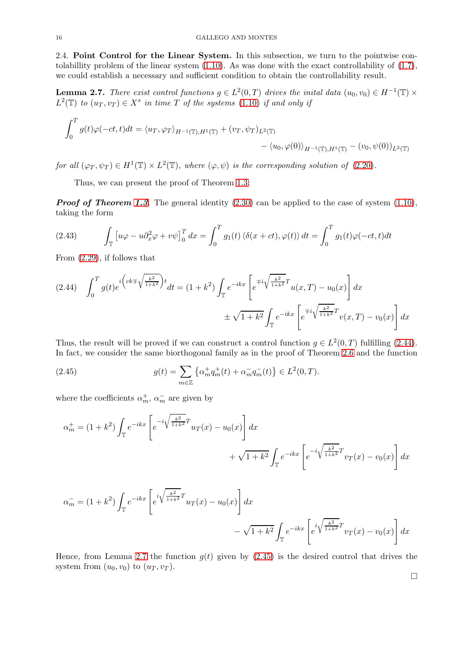2.4. Point Control for the Linear System. In this subsection, we turn to the pointwise contolabillity problem of the linear system [\(1.10\)](#page-3-0). As was done with the exact controllability of [\(1.7\)](#page-2-0), we could establish a necessary and sufficient condition to obtain the controllability result.

<span id="page-15-1"></span>**Lemma 2.7.** There exist control functions  $g \in L^2(0,T)$  drives the initial data  $(u_0, v_0) \in H^{-1}(\mathbb{T}) \times$  $L^2(\mathbb{T})$  to  $(u_T, v_T) \in X^s$  in time T of the systems  $(1.10)$  if and only if

$$
\int_0^T g(t)\varphi(-ct,t)dt = \langle u_T, \varphi_T \rangle_{H^{-1}(\mathbb{T}),H^1(\mathbb{T})} + (v_T, \psi_T)_{L^2(\mathbb{T})} - \langle u_0, \varphi(0) \rangle_{H^{-1}(\mathbb{T}),H^1(\mathbb{T})} - (v_0, \psi(0))_{L^2(\mathbb{T})}
$$

for all  $(\varphi_T, \psi_T) \in H^1(\mathbb{T}) \times L^2(\mathbb{T})$ , where  $(\varphi, \psi)$  is the corresponding solution of  $(2.20)$ .

Thus, we can present the proof of Theorem [1.3:](#page-3-4)

*Proof of Theorem [1.3](#page-3-4).* The general identity [\(2.30\)](#page-12-0) can be applied to the case of system [\(1.10\)](#page-3-0), taking the form

(2.43) 
$$
\int_{\mathbb{T}} \left[ u\varphi - u \partial_x^2 \varphi + v \psi \right]_0^T dx = \int_0^T g_1(t) \left\langle \delta(x + ct), \varphi(t) \right\rangle dt = \int_0^T g_1(t) \varphi(-ct, t) dt
$$

From [\(2.29\)](#page-11-4), if follows that

<span id="page-15-0"></span>
$$
(2.44) \quad \int_0^T g(t)e^{i\left(ck\mp\sqrt{\frac{k^2}{1+k^2}}\right)t}dt = (1+k^2)\int_{\mathbb{T}} e^{-ikx}\left[e^{\mp i\sqrt{\frac{k^2}{1+k^2}}T}u(x,T) - u_0(x)\right]dx
$$

$$
\pm\sqrt{1+k^2}\int_{\mathbb{T}} e^{-ikx}\left[e^{\mp i\sqrt{\frac{k^2}{1+k^2}}T}v(x,T) - v_0(x)\right]dx
$$

Thus, the result will be proved if we can construct a control function  $g \in L^2(0,T)$  fulfilling [\(2.44\)](#page-15-0). In fact, we consider the same biorthogonal family as in the proof of Theorem [2.6](#page-11-5) and the function

<span id="page-15-2"></span>(2.45) 
$$
g(t) = \sum_{m \in \mathbb{Z}} \left\{ \alpha_m^+ q_m^+(t) + \alpha_m^- q_m^-(t) \right\} \in L^2(0, T).
$$

where the coefficients  $\alpha_m^+$ ,  $\alpha_m^-$  are given by

$$
\alpha_m^+ = (1 + k^2) \int_{\mathbb{T}} e^{-ikx} \left[ e^{-i\sqrt{\frac{k^2}{1 + k^2}} T} u_T(x) - u_0(x) \right] dx
$$
  
+  $\sqrt{1 + k^2} \int_{\mathbb{T}} e^{-ikx} \left[ e^{-i\sqrt{\frac{k^2}{1 + k^2}} T} v_T(x) - v_0(x) \right] dx$ 

$$
\alpha_m^- = (1 + k^2) \int_{\mathbb{T}} e^{-ikx} \left[ e^{i \sqrt{\frac{k^2}{1 + k^2}} T} u_T(x) - u_0(x) \right] dx - \sqrt{1 + k^2} \int_{\mathbb{T}} e^{-ikx} \left[ e^{i \sqrt{\frac{k^2}{1 + k^2}} T} v_T(x) - v_0(x) \right] dx
$$

Hence, from Lemma [2.7](#page-15-1) the function  $g(t)$  given by [\(2.45\)](#page-15-2) is the desired control that drives the system from  $(u_0, v_0)$  to  $(u_T, v_T)$ .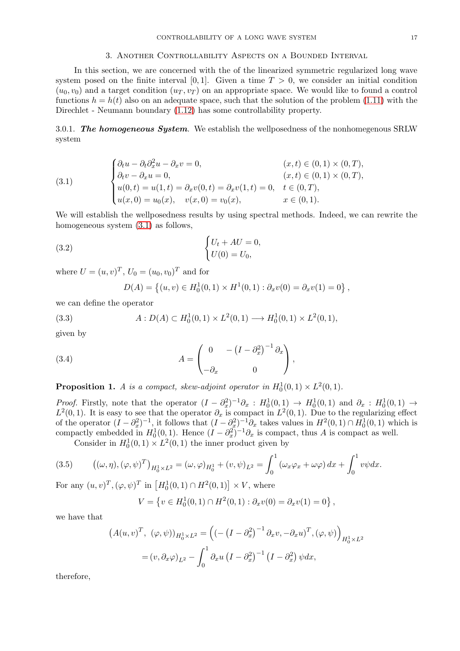### 3. Another Controllability Aspects on a Bounded Interval

In this section, we are concerned with the of the linearized symmetric regularized long wave system posed on the finite interval [0,1]. Given a time  $T > 0$ , we consider an initial condition  $(u_0, v_0)$  and a target condition  $(u_T, v_T)$  on an appropriate space. We would like to found a control functions  $h = h(t)$  also on an adequate space, such that the solution of the problem [\(1.11\)](#page-3-1) with the Direchlet - Neumann boundary [\(1.12\)](#page-4-0) has some controllability property.

3.0.1. *The homogeneous System*. We establish the wellposedness of the nonhomegenous SRLW system

<span id="page-16-0"></span>(3.1) 
$$
\begin{cases} \partial_t u - \partial_t \partial_x^2 u - \partial_x v = 0, & (x, t) \in (0, 1) \times (0, T), \\ \partial_t v - \partial_x u = 0, & (x, t) \in (0, 1) \times (0, T), \\ u(0, t) = u(1, t) = \partial_x v(0, t) = \partial_x v(1, t) = 0, & t \in (0, T), \\ u(x, 0) = u_0(x), & v(x, 0) = v_0(x), & x \in (0, 1). \end{cases}
$$

We will establish the wellposedness results by using spectral methods. Indeed, we can rewrite the homogeneous system [\(3.1\)](#page-16-0) as follows,

(3.2) 
$$
\begin{cases} U_t + AU = 0, \\ U(0) = U_0, \end{cases}
$$

where  $U = (u, v)^T$ ,  $U_0 = (u_0, v_0)^T$  and for

<span id="page-16-2"></span><span id="page-16-1"></span>
$$
D(A) = \{(u, v) \in H_0^1(0, 1) \times H^1(0, 1) : \partial_x v(0) = \partial_x v(1) = 0\},\
$$

we can define the operator

(3.3) 
$$
A: D(A) \subset H_0^1(0,1) \times L^2(0,1) \longrightarrow H_0^1(0,1) \times L^2(0,1),
$$

given by

(3.4) 
$$
A = \begin{pmatrix} 0 & -(I - \partial_x^2)^{-1} \partial_x \\ -\partial_x & 0 \end{pmatrix},
$$

**Proposition 1.** A is a compact, skew-adjoint operator in  $H_0^1(0,1) \times L^2(0,1)$ .

Proof. Firstly, note that the operator  $(I - \partial_x^2)^{-1} \partial_x : H_0^1(0,1) \to H_0^1(0,1)$  and  $\partial_x : H_0^1(0,1) \to$  $L^2(0,1)$ . It is easy to see that the operator  $\partial_x$  is compact in  $L^2(0,1)$ . Due to the regularizing effect of the operator  $(I - \partial_x^2)^{-1}$ , it follows that  $(I - \partial_x^2)^{-1} \partial_x$  takes values in  $H^2(0,1) \cap H_0^1(0,1)$  which is compactly embedded in  $H_0^1(0,1)$ . Hence  $(I - \partial_x^2)^{-1}\partial_x$  is compact, thus A is compact as well.

Consider in  $H_0^1(0,1) \times L^2(0,1)$  the inner product given by

(3.5) 
$$
\left((\omega,\eta),(\varphi,\psi)^T\right)_{H_0^1 \times L^2} = (\omega,\varphi)_{H_0^1} + (v,\psi)_{L^2} = \int_0^1 (\omega_x \varphi_x + \omega \varphi) dx + \int_0^1 v\psi dx.
$$

For any  $(u, v)^T$ ,  $(\varphi, \psi)^T$  in  $[H_0^1(0, 1) \cap H^2(0, 1)] \times V$ , where

$$
V = \{ v \in H_0^1(0,1) \cap H^2(0,1) : \partial_x v(0) = \partial_x v(1) = 0 \},
$$

we have that

$$
(A(u, v)^T, (\varphi, \psi))_{H_0^1 \times L^2} = \left( \left( -\left(I - \partial_x^2\right)^{-1} \partial_x v, -\partial_x u \right)^T, (\varphi, \psi) \right)_{H_0^1 \times L^2}
$$

$$
= (v, \partial_x \varphi)_{L^2} - \int_0^1 \partial_x u \left( I - \partial_x^2 \right)^{-1} \left( I - \partial_x^2 \right) \psi dx,
$$

therefore,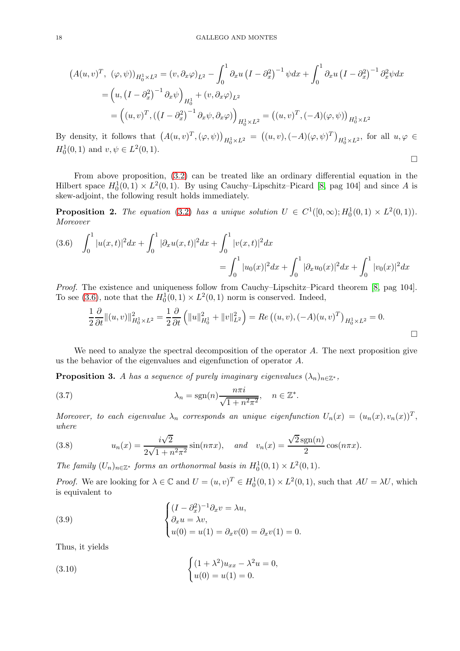$$
(A(u,v)^T, (\varphi, \psi))_{H_0^1 \times L^2} = (v, \partial_x \varphi)_{L^2} - \int_0^1 \partial_x u (I - \partial_x^2)^{-1} \psi dx + \int_0^1 \partial_x u (I - \partial_x^2)^{-1} \partial_x^2 \psi dx
$$
  
= 
$$
(u, (I - \partial_x^2)^{-1} \partial_x \psi)_{H_0^1} + (v, \partial_x \varphi)_{L^2}
$$
  
= 
$$
((u, v)^T, ((I - \partial_x^2)^{-1} \partial_x \psi, \partial_x \varphi))_{H_0^1 \times L^2} = ((u, v)^T, (-A)(\varphi, \psi))_{H_0^1 \times L^2}
$$

By density, it follows that  $(A(u, v)^T, (\varphi, \psi))_{H_0^1 \times L^2} = ((u, v), (-A)(\varphi, \psi)^T)_{H_0^1 \times L^2}$ , for all  $u, \varphi \in$  $H_0^1(0,1)$  and  $v, \psi \in L^2(0,1)$ .

 $\Box$ 

 $\Box$ 

From above proposition, [\(3.2\)](#page-16-1) can be treated like an ordinary differential equation in the Hilbert space  $H_0^1(0,1) \times L^2(0,1)$ . By using Cauchy-Lipschitz-Picard [\[8,](#page-25-17) pag 104] and since A is skew-adjoint, the following result holds immediately.

**Proposition 2.** The equation [\(3.2\)](#page-16-1) has a unique solution  $U \in C^1([0,\infty); H_0^1(0,1) \times L^2(0,1))$ . Moreover

<span id="page-17-0"></span>
$$
(3.6) \quad \int_0^1 |u(x,t)|^2 dx + \int_0^1 |\partial_x u(x,t)|^2 dx + \int_0^1 |v(x,t)|^2 dx
$$
  
= 
$$
\int_0^1 |u_0(x)|^2 dx + \int_0^1 |\partial_x u_0(x)|^2 dx + \int_0^1 |v_0(x)|^2 dx
$$

Proof. The existence and uniqueness follow from Cauchy–Lipschitz–Picard theorem [\[8,](#page-25-17) pag 104]. To see [\(3.6\)](#page-17-0), note that the  $H_0^1(0,1) \times L^2(0,1)$  norm is conserved. Indeed,

$$
\frac{1}{2}\frac{\partial}{\partial t}\|(u,v)\|_{H_0^1\times L^2}^2 = \frac{1}{2}\frac{\partial}{\partial t}\left(\|u\|_{H_0^1}^2 + \|v\|_{L^2}^2\right) = Re\left((u,v), (-A)(u,v)^T\right)_{H_0^1\times L^2} = 0.
$$

We need to analyze the spectral decomposition of the operator  $A$ . The next proposition give us the behavior of the eigenvalues and eigenfunction of operator A.

**Proposition 3.** A has a sequence of purely imaginary eigenvalues  $(\lambda_n)_{n\in\mathbb{Z}^*}$ ,

(3.7) 
$$
\lambda_n = \text{sgn}(n) \frac{n\pi i}{\sqrt{1 + n^2 \pi^2}}, \quad n \in \mathbb{Z}^*.
$$

Moreover, to each eigenvalue  $\lambda_n$  corresponds an unique eigenfunction  $U_n(x) = (u_n(x), v_n(x))^T$ , where

(3.8) 
$$
u_n(x) = \frac{i\sqrt{2}}{2\sqrt{1 + n^2 \pi^2}} \sin(n\pi x), \text{ and } v_n(x) = \frac{\sqrt{2}\operatorname{sgn}(n)}{2}\cos(n\pi x).
$$

The family  $(U_n)_{n \in \mathbb{Z}^*}$  forms an orthonormal basis in  $H_0^1(0,1) \times L^2(0,1)$ .

*Proof.* We are looking for  $\lambda \in \mathbb{C}$  and  $U = (u, v)^T \in H_0^1(0, 1) \times L^2(0, 1)$ , such that  $AU = \lambda U$ , which is equivalent to

<span id="page-17-2"></span>(3.9) 
$$
\begin{cases} (I - \partial_x^2)^{-1} \partial_x v = \lambda u, \\ \partial_x u = \lambda v, \\ u(0) = u(1) = \partial_x v(0) = \partial_x v(1) = 0. \end{cases}
$$

Thus, it yields

<span id="page-17-1"></span>(3.10) 
$$
\begin{cases} (1 + \lambda^2)u_{xx} - \lambda^2 u = 0, \\ u(0) = u(1) = 0. \end{cases}
$$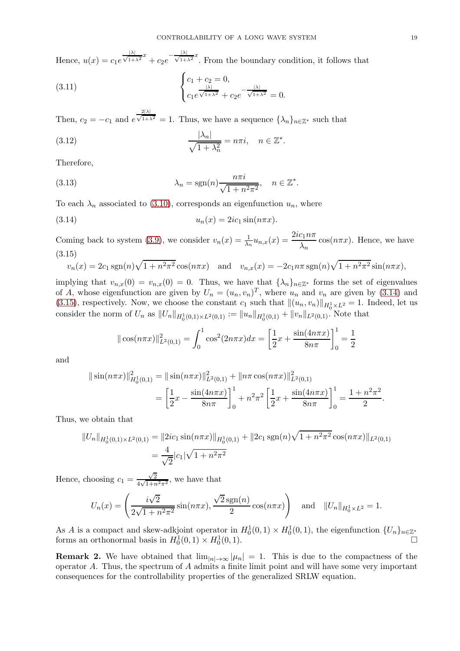Hence,  $u(x) = c_1 e^{\frac{|\lambda|}{\sqrt{1+\lambda^2}}x} + c_2 e^{-\frac{|\lambda|}{\sqrt{1+\lambda^2}}x}$ . From the boundary condition, it follows that

(3.11) 
$$
\begin{cases} c_1 + c_2 = 0, \\ c_1 e^{\frac{|\lambda|}{\sqrt{1 + \lambda^2}}} + c_2 e^{-\frac{|\lambda|}{\sqrt{1 + \lambda^2}}} = 0. \end{cases}
$$

Then,  $c_2 = -c_1$  and e  $\frac{2|\lambda|}{\sqrt{1+\lambda}}$  $\frac{1}{1+\lambda^2} = 1$ . Thus, we have a sequence  $\{\lambda_n\}_{n \in \mathbb{Z}^*}$  such that

(3.12) 
$$
\frac{|\lambda_n|}{\sqrt{1+\lambda_n^2}} = n\pi i, \quad n \in \mathbb{Z}^*.
$$

Therefore,

(3.13) 
$$
\lambda_n = \text{sgn}(n) \frac{n\pi i}{\sqrt{1 + n^2 \pi^2}}, \quad n \in \mathbb{Z}^*.
$$

To each  $\lambda_n$  associated to [\(3.10\)](#page-17-1), corresponds an eigenfunction  $u_n$ , where

(3.14) un(x) = 2ic<sup>1</sup> sin(nπx).

Coming back to system [\(3.9\)](#page-17-2), we consider  $v_n(x) = \frac{1}{\lambda_n} u_{n,x}(x) = \frac{2ic_1 n\pi}{\lambda_n} \cos(n\pi x)$ . Hence, we have (3.15)

<span id="page-18-1"></span>
$$
v_n(x) = 2c_1 \operatorname{sgn}(n)\sqrt{1 + n^2 \pi^2} \cos(n\pi x)
$$
 and  $v_{n,x}(x) = -2c_1 n \pi \operatorname{sgn}(n)\sqrt{1 + n^2 \pi^2} \sin(n\pi x)$ ,

implying that  $v_{n,x}(0) = v_{n,x}(0) = 0$ . Thus, we have that  $\{\lambda_n\}_{n\in\mathbb{Z}^*}$  forms the set of eigenvalues of A, whose eigenfunction are given by  $U_n = (u_n, v_n)^T$ , where  $u_n$  and  $v_n$  are given by [\(3.14\)](#page-18-0) and [\(3.15\)](#page-18-1), respectively. Now, we choose the constant  $c_1$  such that  $\|(u_n, v_n)\|_{H_0^1 \times L^2} = 1$ . Indeed, let us consider the norm of  $U_n$  as  $||U_n||_{H_0^1(0,1) \times L^2(0,1)} := ||u_n||_{H_0^1(0,1)} + ||v_n||_{L^2(0,1)}$ . Note that

<span id="page-18-0"></span>
$$
\|\cos(n\pi x)\|_{L^2(0,1)}^2 = \int_0^1 \cos^2(2n\pi x)dx = \left[\frac{1}{2}x + \frac{\sin(4n\pi x)}{8n\pi}\right]_0^1 = \frac{1}{2}
$$

and

$$
\|\sin(n\pi x)\|_{H_0^1(0,1)}^2 = \|\sin(n\pi x)\|_{L^2(0,1)}^2 + \|n\pi \cos(n\pi x)\|_{L^2(0,1)}^2
$$
  
= 
$$
\left[\frac{1}{2}x - \frac{\sin(4n\pi x)}{8n\pi}\right]_0^1 + n^2\pi^2 \left[\frac{1}{2}x + \frac{\sin(4n\pi x)}{8n\pi}\right]_0^1 = \frac{1 + n^2\pi^2}{2}.
$$

Thus, we obtain that

$$
||U_n||_{H_0^1(0,1)\times L^2(0,1)} = ||2ic_1\sin(n\pi x)||_{H_0^1(0,1)} + ||2c_1\operatorname{sgn}(n)\sqrt{1+n^2\pi^2}\cos(n\pi x)||_{L^2(0,1)}
$$
  
= 
$$
\frac{4}{\sqrt{2}}|c_1|\sqrt{1+n^2\pi^2}
$$

Hence, choosing  $c_1 = \frac{\sqrt{2}}{4\sqrt{1+\pi}}$  $\frac{\sqrt{2}}{4\sqrt{1+n^2\pi^2}}$ , we have that

$$
U_n(x) = \left(\frac{i\sqrt{2}}{2\sqrt{1+n^2\pi^2}}\sin(n\pi x), \frac{\sqrt{2}\operatorname{sgn}(n)}{2}\cos(n\pi x)\right) \text{ and } ||U_n||_{H_0^1 \times L^2} = 1.
$$

As A is a compact and skew-adkjoint operator in  $H_0^1(0,1) \times H_0^1(0,1)$ , the eigenfunction  $\{U_n\}_{n \in \mathbb{Z}^*}$ forms an orthonormal basis in  $H_0^1(0,1) \times H_0^1$  $(0, 1)$ .

**Remark 2.** We have obtained that  $\lim_{|n|\to\infty} |\mu_n| = 1$ . This is due to the compactness of the operator  $A$ . Thus, the spectrum of  $A$  admits a finite limit point and will have some very important consequences for the controllability properties of the generalized SRLW equation.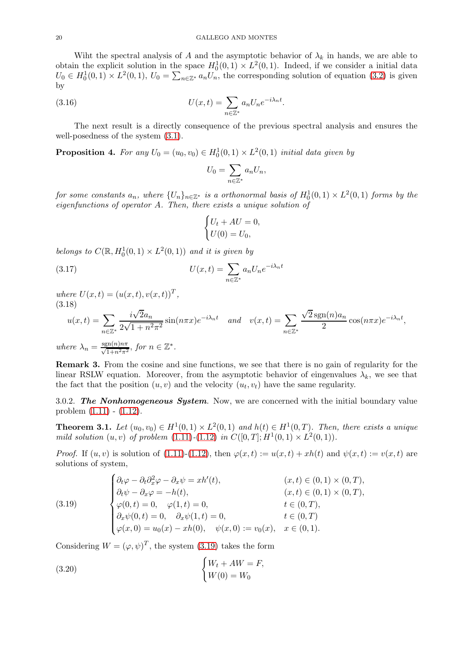Wiht the spectral analysis of A and the asymptotic behavior of  $\lambda_k$  in hands, we are able to obtain the explicit solution in the space  $H_0^1(0,1) \times L^2(0,1)$ . Indeed, if we consider a initial data  $U_0 \in H_0^1(0,1) \times L^2(0,1)$ ,  $U_0 = \sum_{n \in \mathbb{Z}^*} a_n U_n$ , the corresponding solution of equation [\(3.2\)](#page-16-1) is given by

(3.16) 
$$
U(x,t) = \sum_{n \in \mathbb{Z}^*} a_n U_n e^{-i\lambda_n t}.
$$

The next result is a directly consequence of the previous spectral analysis and ensures the well-posedness of the system [\(3.1\)](#page-16-0).

<span id="page-19-2"></span>**Proposition 4.** For any  $U_0 = (u_0, v_0) \in H_0^1(0, 1) \times L^2(0, 1)$  initial data given by

$$
U_0 = \sum_{n \in \mathbb{Z}^*} a_n U_n,
$$

for some constants  $a_n$ , where  $\{U_n\}_{n\in\mathbb{Z}^*}$  is a orthonormal basis of  $H_0^1(0,1)\times L^2(0,1)$  forms by the eigenfunctions of operator A. Then, there exists a unique solution of

$$
\begin{cases} U_t + AU = 0, \\ U(0) = U_0, \end{cases}
$$

belongs to  $C(\mathbb{R}, H_0^1(0,1) \times L^2(0,1))$  and it is given by

(3.17) 
$$
U(x,t) = \sum_{n \in \mathbb{Z}^*} a_n U_n e^{-i\lambda_n t}
$$

where  $U(x,t) = (u(x,t), v(x,t))^T$ , (3.18)

$$
u(x,t) = \sum_{n \in \mathbb{Z}^*} \frac{i\sqrt{2}a_n}{2\sqrt{1+n^2\pi^2}} \sin(n\pi x) e^{-i\lambda_n t} \quad and \quad v(x,t) = \sum_{n \in \mathbb{Z}^*} \frac{\sqrt{2}\operatorname{sgn}(n)a_n}{2} \cos(n\pi x) e^{-i\lambda_n t},
$$
  
where  $\lambda_n = \frac{\operatorname{sgn}(n)n\pi}{\sqrt{1+n^2\pi^2}}$ , for  $n \in \mathbb{Z}^*$ .

Remark 3. From the cosine and sine functions, we see that there is no gain of regularity for the linear RSLW equation. Moreover, from the asymptotic behavior of eingenvalues  $\lambda_k$ , we see that the fact that the position  $(u, v)$  and the velocity  $(u_t, v_t)$  have the same regularity.

3.0.2. *The Nonhomogeneous System*. Now, we are concerned with the initial boundary value problem [\(1.11\)](#page-3-1) - [\(1.12\)](#page-4-0).

<span id="page-19-3"></span>**Theorem 3.1.** Let  $(u_0, v_0) \in H^1(0, 1) \times L^2(0, 1)$  and  $h(t) \in H^1(0, T)$ . Then, there exists a unique mild solution  $(u, v)$  of problem  $(1.11)-(1.12)$  $(1.11)-(1.12)$  $(1.11)-(1.12)$  in  $C([0, T]; H^1(0, 1) \times L^2(0, 1)).$ 

*Proof.* If  $(u, v)$  is solution of [\(1.11\)](#page-3-1)-[\(1.12\)](#page-4-0), then  $\varphi(x, t) := u(x, t) + xh(t)$  and  $\psi(x, t) := v(x, t)$  are solutions of system,

<span id="page-19-0"></span>(3.19) 
$$
\begin{cases} \partial_t \varphi - \partial_t \partial_x^2 \varphi - \partial_x \psi = xh'(t), & (x, t) \in (0, 1) \times (0, T), \\ \partial_t \psi - \partial_x \varphi = -h(t), & (x, t) \in (0, 1) \times (0, T), \\ \varphi(0, t) = 0, & \varphi(1, t) = 0, \\ \partial_x \psi(0, t) = 0, & \partial_x \psi(1, t) = 0, \qquad t \in (0, T), \\ \varphi(x, 0) = u_0(x) - xh(0), & \psi(x, 0) := v_0(x), & x \in (0, 1). \end{cases}
$$

Considering  $W = (\varphi, \psi)^T$ , the system [\(3.19\)](#page-19-0) takes the form

<span id="page-19-1"></span>(3.20) 
$$
\begin{cases} W_t + AW = F, \\ W(0) = W_0 \end{cases}
$$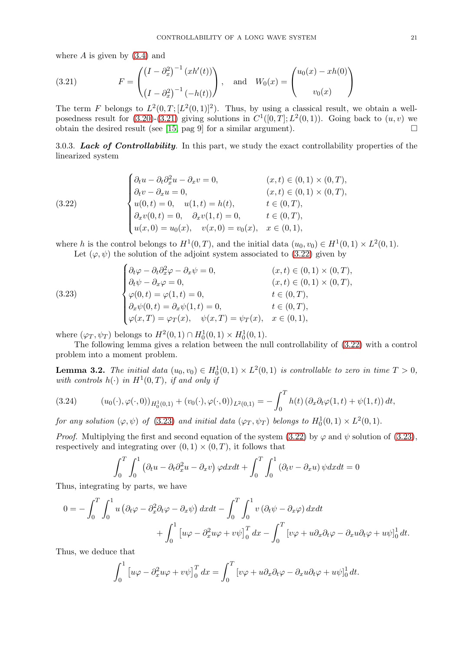where  $A$  is given by  $(3.4)$  and

<span id="page-20-0"></span>(3.21) 
$$
F = \begin{pmatrix} (I - \partial_x^2)^{-1} (xh'(t)) \\ (I - \partial_x^2)^{-1} (-h(t)) \end{pmatrix}, \text{ and } W_0(x) = \begin{pmatrix} u_0(x) - xh(0) \\ v_0(x) \end{pmatrix}
$$

The term F belongs to  $L^2(0,T;[L^2(0,1)]^2)$ . Thus, by using a classical result, we obtain a wellposedness result for  $(3.20)-(3.21)$  $(3.20)-(3.21)$  giving solutions in  $C^1([0,T];L^2(0,1))$ . Going back to  $(u, v)$  we obtain the desired result (see [\[15,](#page-25-18) pag 9] for a similar argument).  $\Box$ 

3.0.3. *Lack of Controllability*. In this part, we study the exact controllability properties of the linearized system

<span id="page-20-1"></span>(3.22) 
$$
\begin{cases} \partial_t u - \partial_t \partial_x^2 u - \partial_x v = 0, & (x, t) \in (0, 1) \times (0, T), \\ \partial_t v - \partial_x u = 0, & (x, t) \in (0, 1) \times (0, T), \\ u(0, t) = 0, & u(1, t) = h(t), & t \in (0, T), \\ \partial_x v(0, t) = 0, & \partial_x v(1, t) = 0, & t \in (0, T), \\ u(x, 0) = u_0(x), & v(x, 0) = v_0(x), & x \in (0, 1), \end{cases}
$$

where h is the control belongs to  $H^1(0,T)$ , and the initial data  $(u_0, v_0) \in H^1(0,1) \times L^2(0,1)$ . Let  $(\varphi, \psi)$  the solution of the adjoint system associated to [\(3.22\)](#page-20-1) given by

<span id="page-20-2"></span>(3.23) 
$$
\begin{cases} \partial_t \varphi - \partial_t \partial_x^2 \varphi - \partial_x \psi = 0, & (x, t) \in (0, 1) \times (0, T), \\ \partial_t \psi - \partial_x \varphi = 0, & (x, t) \in (0, 1) \times (0, T), \\ \varphi(0, t) = \varphi(1, t) = 0, & t \in (0, T), \\ \partial_x \psi(0, t) = \partial_x \psi(1, t) = 0, & t \in (0, T), \\ \varphi(x, T) = \varphi_T(x), & \psi(x, T) = \psi_T(x), & x \in (0, 1), \end{cases}
$$

where  $(\varphi_T, \psi_T)$  belongs to  $H^2(0,1) \cap H_0^1(0,1) \times H_0^1(0,1)$ .

The following lemma gives a relation between the null controllability of [\(3.22\)](#page-20-1) with a control problem into a moment problem.

**Lemma 3.2.** The initial data  $(u_0, v_0) \in H_0^1(0, 1) \times L^2(0, 1)$  is controllable to zero in time  $T > 0$ , with controls  $h(\cdot)$  in  $H^1(0,T)$ , if and only if

<span id="page-20-3"></span>(3.24) 
$$
(u_0(\cdot), \varphi(\cdot, 0))_{H_0^1(0,1)} + (v_0(\cdot), \varphi(\cdot, 0))_{L^2(0,1)} = -\int_0^T h(t) \left(\partial_x \partial_t \varphi(1, t) + \psi(1, t)\right) dt,
$$

for any solution  $(\varphi, \psi)$  of [\(3.23\)](#page-20-2) and initial data  $(\varphi_T, \psi_T)$  belongs to  $H_0^1(0,1) \times L^2(0,1)$ .

*Proof.* Multiplying the first and second equation of the system [\(3.22\)](#page-20-1) by  $\varphi$  and  $\psi$  solution of [\(3.23\)](#page-20-2), respectively and integrating over  $(0, 1) \times (0, T)$ , it follows that

$$
\int_0^T \int_0^1 (\partial_t u - \partial_t \partial_x^2 u - \partial_x v) \, \varphi dx dt + \int_0^T \int_0^1 (\partial_t v - \partial_x u) \, \psi dx dt = 0
$$

Thus, integrating by parts, we have

$$
0 = -\int_0^T \int_0^1 u \left(\partial_t \varphi - \partial_x^2 \partial_t \varphi - \partial_x \psi\right) dx dt - \int_0^T \int_0^1 v \left(\partial_t \psi - \partial_x \varphi\right) dx dt + \int_0^1 \left[u\varphi - \partial_x^2 u\varphi + v\psi\right]_0^T dx - \int_0^T \left[v\varphi + u\partial_x \partial_t \varphi - \partial_x u\partial_t \varphi + u\psi\right]_0^1 dt.
$$

Thus, we deduce that

$$
\int_0^1 \left[ u\varphi - \partial_x^2 u\varphi + v\psi \right]_0^T dx = \int_0^T \left[ v\varphi + u\partial_x\partial_t\varphi - \partial_x u\partial_t\varphi + u\psi \right]_0^1 dt.
$$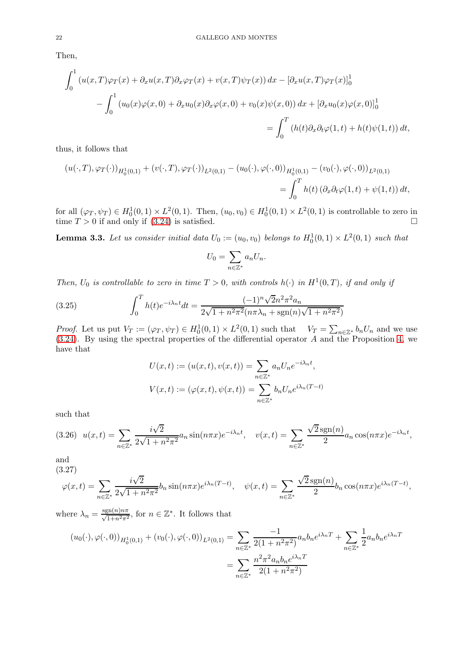Then,

$$
\int_0^1 \left( u(x,T)\varphi_T(x) + \partial_x u(x,T)\partial_x \varphi_T(x) + v(x,T)\psi_T(x) \right) dx - \left[ \partial_x u(x,T)\varphi_T(x) \right]_0^1
$$

$$
- \int_0^1 \left( u_0(x)\varphi(x,0) + \partial_x u_0(x)\partial_x \varphi(x,0) + v_0(x)\psi(x,0) \right) dx + \left[ \partial_x u_0(x)\varphi(x,0) \right]_0^1
$$

$$
= \int_0^T \left( h(t)\partial_x \partial_t \varphi(1,t) + h(t)\psi(1,t) \right) dt,
$$

thus, it follows that

$$
(u(\cdot,T),\varphi_T(\cdot))_{H_0^1(0,1)} + (v(\cdot,T),\varphi_T(\cdot))_{L^2(0,1)} - (u_0(\cdot),\varphi(\cdot,0))_{H_0^1(0,1)} - (v_0(\cdot),\varphi(\cdot,0))_{L^2(0,1)}
$$
  
= 
$$
\int_0^T h(t) \left(\partial_x \partial_t \varphi(1,t) + \psi(1,t)\right) dt,
$$

for all  $(\varphi_T, \psi_T) \in H_0^1(0,1) \times L^2(0,1)$ . Then,  $(u_0, v_0) \in H_0^1(0,1) \times L^2(0,1)$  is controllable to zero in time  $T > 0$  if and only if [\(3.24\)](#page-20-3) is satisfied.

<span id="page-21-0"></span>**Lemma 3.3.** Let us consider initial data  $U_0 := (u_0, v_0)$  belongs to  $H_0^1(0,1) \times L^2(0,1)$  such that

$$
U_0 = \sum_{n \in \mathbb{Z}^*} a_n U_n.
$$

Then,  $U_0$  is controllable to zero in time  $T > 0$ , with controls  $h(\cdot)$  in  $H^1(0,T)$ , if and only if

(3.25) 
$$
\int_0^T h(t)e^{-i\lambda_n t}dt = \frac{(-1)^n \sqrt{2}n^2 \pi^2 a_n}{2\sqrt{1 + n^2 \pi^2}(n\pi\lambda_n + \text{sgn}(n)\sqrt{1 + n^2 \pi^2})}
$$

Proof. Let us put  $V_T := (\varphi_T, \psi_T) \in H_0^1(0,1) \times L^2(0,1)$  such that  $V_T = \sum_{n \in \mathbb{Z}^*} b_n U_n$  and we use [\(3.24\)](#page-20-3). By using the spectral properties of the differential operator A and the Proposition [4,](#page-19-2) we have that

$$
U(x,t) := (u(x,t), v(x,t)) = \sum_{n \in \mathbb{Z}^*} a_n U_n e^{-i\lambda_n t},
$$
  

$$
V(x,t) := (\varphi(x,t), \psi(x,t)) = \sum_{n \in \mathbb{Z}^*} b_n U_n e^{i\lambda_n (T-t)}
$$

such that

$$
(3.26)\ \ u(x,t) = \sum_{n \in \mathbb{Z}^*} \frac{i\sqrt{2}}{2\sqrt{1 + n^2 \pi^2}} a_n \sin(n\pi x) e^{-i\lambda_n t}, \quad v(x,t) = \sum_{n \in \mathbb{Z}^*} \frac{\sqrt{2} \operatorname{sgn}(n)}{2} a_n \cos(n\pi x) e^{-i\lambda_n t},
$$

and (3.27)

$$
\varphi(x,t) = \sum_{n \in \mathbb{Z}^*} \frac{i\sqrt{2}}{2\sqrt{1 + n^2 \pi^2}} b_n \sin(n\pi x) e^{i\lambda_n (T-t)}, \quad \psi(x,t) = \sum_{n \in \mathbb{Z}^*} \frac{\sqrt{2} \operatorname{sgn}(n)}{2} b_n \cos(n\pi x) e^{i\lambda_n (T-t)},
$$

where  $\lambda_n = \frac{\text{sgn}(n)n\pi}{\sqrt{1+n^2\pi^2}}$ , for  $n \in \mathbb{Z}^*$ . It follows that

$$
(u_0(\cdot), \varphi(\cdot, 0))_{H_0^1(0,1)} + (v_0(\cdot), \varphi(\cdot, 0))_{L^2(0,1)} = \sum_{n \in \mathbb{Z}^*} \frac{-1}{2(1 + n^2 \pi^2)} a_n b_n e^{i\lambda_n T} + \sum_{n \in \mathbb{Z}^*} \frac{1}{2} a_n b_n e^{i\lambda_n T}
$$

$$
= \sum_{n \in \mathbb{Z}^*} \frac{n^2 \pi^2 a_n b_n e^{i\lambda_n T}}{2(1 + n^2 \pi^2)}
$$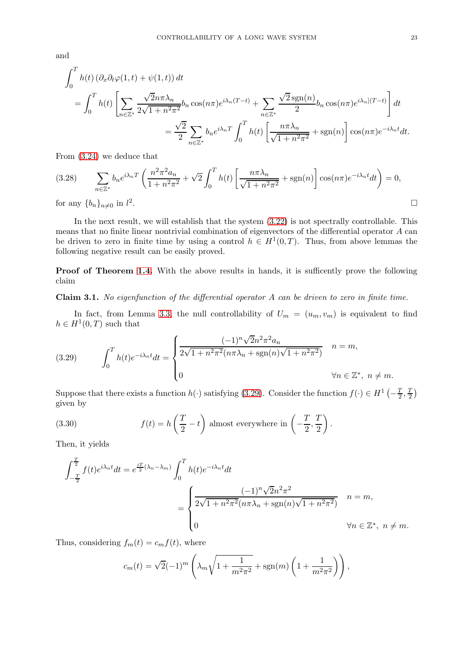and

$$
\int_0^T h(t) \left( \partial_x \partial_t \varphi(1, t) + \psi(1, t) \right) dt
$$
\n
$$
= \int_0^T h(t) \left[ \sum_{n \in \mathbb{Z}^*} \frac{\sqrt{2}n \pi \lambda_n}{2\sqrt{1 + n^2 \pi^2}} b_n \cos(n\pi) e^{i\lambda_n (T - t)} + \sum_{n \in \mathbb{Z}^*} \frac{\sqrt{2} \operatorname{sgn}(n)}{2} b_n \cos(n\pi) e^{i\lambda_n (T - t)} \right] dt
$$
\n
$$
= \frac{\sqrt{2}}{2} \sum_{n \in \mathbb{Z}^*} b_n e^{i\lambda_n T} \int_0^T h(t) \left[ \frac{n \pi \lambda_n}{\sqrt{1 + n^2 \pi^2}} + \operatorname{sgn}(n) \right] \cos(n\pi) e^{-i\lambda_n t} dt.
$$

From [\(3.24\)](#page-20-3) we deduce that

$$
(3.28) \qquad \sum_{n\in\mathbb{Z}^*} b_n e^{i\lambda_n T} \left( \frac{n^2 \pi^2 a_n}{1 + n^2 \pi^2} + \sqrt{2} \int_0^T h(t) \left[ \frac{n \pi \lambda_n}{\sqrt{1 + n^2 \pi^2}} + \text{sgn}(n) \right] \cos(n\pi) e^{-i\lambda_n t} dt \right) = 0,
$$
\n
$$
\text{for any } \{b_n\}_{n\neq 0} \text{ in } l^2. \qquad \Box
$$

for any  $\{b_n\}_{n\neq0}$  in  $l^2$ 

In the next result, we will establish that the system [\(3.22\)](#page-20-1) is not spectrally controllable. This means that no finite linear nontrivial combination of eigenvectors of the differential operator A can be driven to zero in finite time by using a control  $h \in H^1(0,T)$ . Thus, from above lemmas the following negative result can be easily proved.

**Proof of Theorem [1.4.](#page-4-2)** With the above results in hands, it is sufficently prove the following claim

Claim 3.1. No eigenfunction of the differential operator A can be driven to zero in finite time.

In fact, from Lemma [3.3,](#page-21-0) the null controllability of  $U_m = (u_m, v_m)$  is equivalent to find  $h \in H^1(0,T)$  such that

<span id="page-22-0"></span>(3.29) 
$$
\int_0^T h(t)e^{-i\lambda_n t}dt = \begin{cases} \frac{(-1)^n \sqrt{2}n^2 \pi^2 a_n}{2\sqrt{1+n^2 \pi^2}(n\pi\lambda_n + \text{sgn}(n)\sqrt{1+n^2 \pi^2})} & n = m, \\ 0 & \forall n \in \mathbb{Z}^*, \ n \neq m. \end{cases}
$$

Suppose that there exists a function  $h(\cdot)$  satisfying [\(3.29\)](#page-22-0). Consider the function  $f(\cdot) \in H^1(-\frac{T}{2})$  $\frac{T}{2},\frac{T}{2}$  $(\frac{T}{2})$ given by

(3.30) 
$$
f(t) = h\left(\frac{T}{2} - t\right) \text{ almost everywhere in } \left(-\frac{T}{2}, \frac{T}{2}\right).
$$

Then, it yields

$$
\int_{-\frac{T}{2}}^{\frac{T}{2}} f(t)e^{i\lambda_n t} dt = e^{\frac{iT}{2}(\lambda_n - \lambda_m)} \int_0^T h(t)e^{-i\lambda_n t} dt
$$
  

$$
= \begin{cases} \frac{(-1)^n \sqrt{2}n^2 \pi^2}{2\sqrt{1 + n^2 \pi^2}(n\pi\lambda_n + \text{sgn}(n)\sqrt{1 + n^2 \pi^2})} & n = m, \\ 0 & \forall n \in \mathbb{Z}^*, \ n \neq m. \end{cases}
$$

Thus, considering  $f_m(t) = c_m f(t)$ , where

$$
c_m(t) = \sqrt{2}(-1)^m \left( \lambda_m \sqrt{1 + \frac{1}{m^2 \pi^2}} + \text{sgn}(m) \left( 1 + \frac{1}{m^2 \pi^2} \right) \right),
$$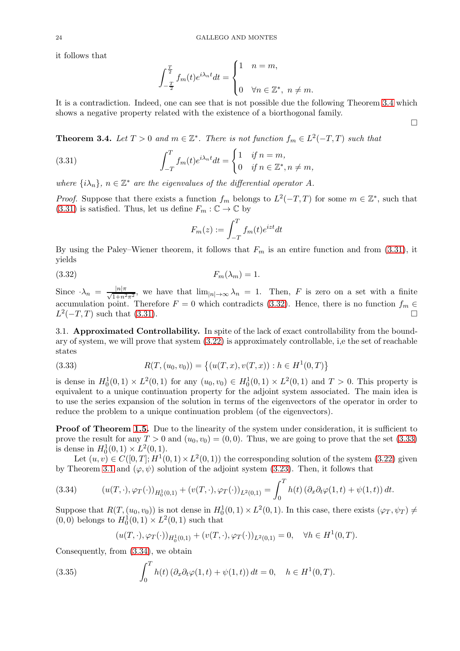it follows that

$$
\int_{-\frac{T}{2}}^{\frac{T}{2}} f_m(t)e^{i\lambda_n t}dt = \begin{cases} 1 & n = m, \\ 0 & \forall n \in \mathbb{Z}^*, \ n \neq m. \end{cases}
$$

It is a contradiction. Indeed, one can see that is not possible due the following Theorem [3.4](#page-23-0) which shows a negative property related with the existence of a biorthogonal family.

<span id="page-23-0"></span>**Theorem 3.4.** Let  $T > 0$  and  $m \in \mathbb{Z}^*$ . There is not function  $f_m \in L^2(-T,T)$  such that

(3.31) 
$$
\int_{-T}^{T} f_m(t)e^{i\lambda_n t}dt = \begin{cases} 1 & \text{if } n = m, \\ 0 & \text{if } n \in \mathbb{Z}^*, n \neq m, \end{cases}
$$

where  $\{i\lambda_n\}$ ,  $n \in \mathbb{Z}^*$  are the eigenvalues of the differential operator A.

*Proof.* Suppose that there exists a function  $f_m$  belongs to  $L^2(-T,T)$  for some  $m \in \mathbb{Z}^*$ , such that [\(3.31\)](#page-23-1) is satisfied. Thus, let us define  $F_m : \mathbb{C} \to \mathbb{C}$  by

<span id="page-23-1"></span>
$$
F_m(z):=\int_{-T}^T f_m(t)e^{izt}dt
$$

By using the Paley–Wiener theorem, it follows that  $F_m$  is an entire function and from [\(3.31\)](#page-23-1), it yields

<span id="page-23-2"></span>(3.32)  $F_m(\lambda_m) = 1.$ 

Since  $\lambda_n = \frac{|n|\pi}{\sqrt{1+n^2\pi^2}}$ , we have that  $\lim_{|n|\to\infty} \lambda_n = 1$ . Then, F is zero on a set with a finite accumulation point. Therefore  $F = 0$  which contradicts [\(3.32\)](#page-23-2). Hence, there is no function  $f_m \in L^2(-T, T)$  such that (3.31)  $L^2(-T,T)$  such that [\(3.31\)](#page-23-1).

3.1. Approximated Controllability. In spite of the lack of exact controllability from the boundary of system, we will prove that system [\(3.22\)](#page-20-1) is approximately controllable, i,e the set of reachable states

<span id="page-23-3"></span>(3.33) 
$$
R(T,(u_0,v_0)) = \{(u(T,x),v(T,x)) : h \in H^1(0,T)\}
$$

is dense in  $H_0^1(0,1) \times L^2(0,1)$  for any  $(u_0, v_0) \in H_0^1(0,1) \times L^2(0,1)$  and  $T > 0$ . This property is equivalent to a unique continuation property for the adjoint system associated. The main idea is to use the series expansion of the solution in terms of the eigenvectors of the operator in order to reduce the problem to a unique continuation problem (of the eigenvectors).

**Proof of Theorem [1.5.](#page-4-3)** Due to the linearity of the system under consideration, it is sufficient to prove the result for any  $T > 0$  and  $(u_0, v_0) = (0, 0)$ . Thus, we are going to prove that the set  $(3.33)$ is dense in  $H_0^1(0,1) \times L^2(0,1)$ .

Let  $(u, v) \in C([0, T]; H^1(0, 1) \times L^2(0, 1))$  the corresponding solution of the system [\(3.22\)](#page-20-1) given by Theorem [3.1](#page-19-3) and  $(\varphi, \psi)$  solution of the adjoint system [\(3.23\)](#page-20-2). Then, it follows that

<span id="page-23-4"></span>(3.34) 
$$
(u(T,\cdot),\varphi_T(\cdot))_{H_0^1(0,1)} + (v(T,\cdot),\varphi_T(\cdot))_{L^2(0,1)} = \int_0^T h(t) \left(\partial_x \partial_t \varphi(1,t) + \psi(1,t)\right) dt.
$$

Suppose that  $R(T,(u_0,v_0))$  is not dense in  $H_0^1(0,1) \times L^2(0,1)$ . In this case, there exists  $(\varphi_T, \psi_T) \neq$  $(0, 0)$  belongs to  $H_0^1(0, 1) \times L^2(0, 1)$  such that

$$
(u(T,\cdot),\varphi_T(\cdot))_{H_0^1(0,1)} + (v(T,\cdot),\varphi_T(\cdot))_{L^2(0,1)} = 0, \quad \forall h \in H^1(0,T).
$$

Consequently, from [\(3.34\)](#page-23-4), we obtain

(3.35) 
$$
\int_0^T h(t) \left( \partial_x \partial_t \varphi(1, t) + \psi(1, t) \right) dt = 0, \quad h \in H^1(0, T).
$$

 $\Box$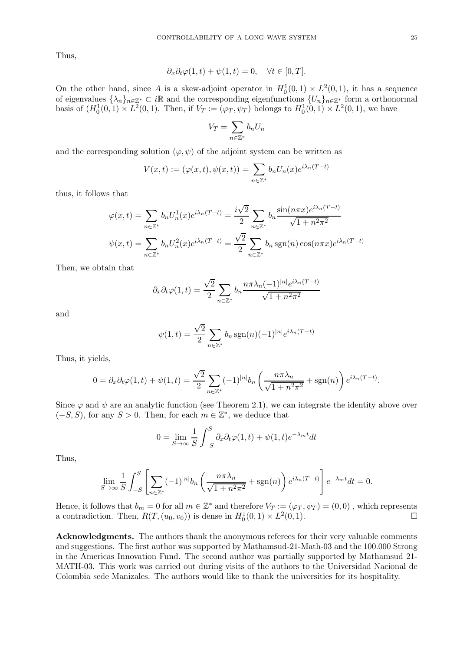Thus,

$$
\partial_x \partial_t \varphi(1, t) + \psi(1, t) = 0, \quad \forall t \in [0, T].
$$

On the other hand, since A is a skew-adjoint operator in  $H_0^1(0,1) \times L^2(0,1)$ , it has a sequence of eigenvalues  $\{\lambda_n\}_{n\in\mathbb{Z}^*}\subset i\mathbb{R}$  and the corresponding eigenfunctions  $\{U_n\}_{n\in\mathbb{Z}^*}$  form a orthonormal basis of  $(H_0^1(0,1) \times L^2(0,1)$ . Then, if  $V_T := (\varphi_T, \psi_T)$  belongs to  $H_0^1(0,1) \times L^2(0,1)$ , we have

$$
V_T = \sum_{n \in \mathbb{Z}^*} b_n U_n
$$

and the corresponding solution  $(\varphi, \psi)$  of the adjoint system can be written as

$$
V(x,t) := (\varphi(x,t), \psi(x,t)) = \sum_{n \in \mathbb{Z}^*} b_n U_n(x) e^{i\lambda_n(T-t)}
$$

thus, it follows that

$$
\varphi(x,t) = \sum_{n \in \mathbb{Z}^*} b_n U_n^1(x) e^{i\lambda_n(T-t)} = \frac{i\sqrt{2}}{2} \sum_{n \in \mathbb{Z}^*} b_n \frac{\sin(n\pi x) e^{i\lambda_n(T-t)}}{\sqrt{1 + n^2 \pi^2}}
$$

$$
\psi(x,t) = \sum_{n \in \mathbb{Z}^*} b_n U_n^2(x) e^{i\lambda_n(T-t)} = \frac{\sqrt{2}}{2} \sum_{n \in \mathbb{Z}^*} b_n \operatorname{sgn}(n) \cos(n\pi x) e^{i\lambda_n(T-t)}
$$

Then, we obtain that

$$
\partial_x \partial_t \varphi(1,t) = \frac{\sqrt{2}}{2} \sum_{n \in \mathbb{Z}^*} b_n \frac{n \pi \lambda_n (-1)^{|n|} e^{i \lambda_n (T-t)}}{\sqrt{1 + n^2 \pi^2}}
$$

and

$$
\psi(1,t) = \frac{\sqrt{2}}{2} \sum_{n \in \mathbb{Z}^*} b_n \operatorname{sgn}(n)(-1)^{|n|} e^{i\lambda_n(T-t)}
$$

Thus, it yields,

$$
0 = \partial_x \partial_t \varphi(1, t) + \psi(1, t) = \frac{\sqrt{2}}{2} \sum_{n \in \mathbb{Z}^*} (-1)^{|n|} b_n \left( \frac{n \pi \lambda_n}{\sqrt{1 + n^2 \pi^2}} + \text{sgn}(n) \right) e^{i \lambda_n (T - t)}.
$$

Since  $\varphi$  and  $\psi$  are an analytic function (see Theorem 2.1), we can integrate the identity above over  $(-S, S)$ , for any  $S > 0$ . Then, for each  $m \in \mathbb{Z}^*$ , we deduce that

$$
0 = \lim_{S \to \infty} \frac{1}{S} \int_{-S}^{S} \partial_x \partial_t \varphi(1, t) + \psi(1, t) e^{-\lambda_m t} dt
$$

Thus,

$$
\lim_{S \to \infty} \frac{1}{S} \int_{-S}^{S} \left[ \sum_{n \in \mathbb{Z}^*} (-1)^{|n|} b_n \left( \frac{n \pi \lambda_n}{\sqrt{1 + n^2 \pi^2}} + \text{sgn}(n) \right) e^{i \lambda_n (T - t)} \right] e^{-\lambda_m t} dt = 0.
$$

Hence, it follows that  $b_m = 0$  for all  $m \in \mathbb{Z}^*$  and therefore  $V_T := (\varphi_T, \psi_T) = (0, 0)$ , which represents a contradiction. Then,  $R(T,(u_0,v_0))$  is dense in  $H_0^1(0,1) \times L^2(0,1)$ .

Acknowledgments. The authors thank the anonymous referees for their very valuable comments and suggestions. The first author was supported by Mathamsud-21-Math-03 and the 100.000 Strong in the Americas Innovation Fund. The second author was partially supported by Mathamsud 21- MATH-03. This work was carried out during visits of the authors to the Universidad Nacional de Colombia sede Manizales. The authors would like to thank the universities for its hospitality.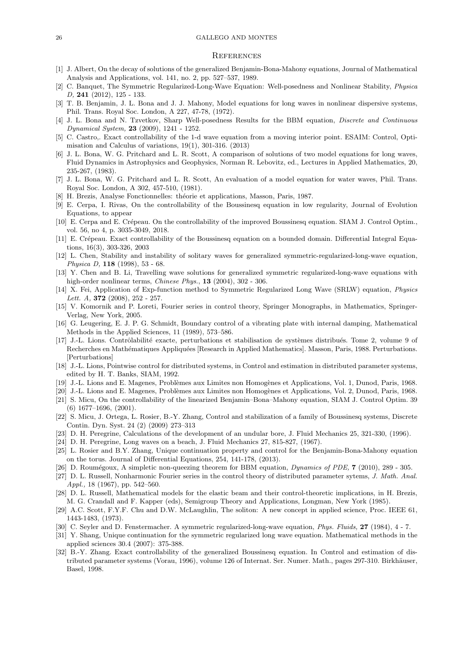#### 26 GALLEGO AND MONTES

#### **REFERENCES**

- <span id="page-25-3"></span><span id="page-25-1"></span>[1] J. Albert, On the decay of solutions of the generalized Benjamin-Bona-Mahony equations, Journal of Mathematical Analysis and Applications, vol. 141, no. 2, pp. 527–537, 1989.
- [2] C. Banquet, The Symmetric Regularized-Long-Wave Equation: Well-posedness and Nonlinear Stability, Physica D, 241 (2012), 125 - 133.
- [3] T. B. Benjamin, J. L. Bona and J. J. Mahony, Model equations for long waves in nonlinear dispersive systems, Phil. Trans. Royal Soc. London, A 227, 47-78, (1972).
- [4] J. L. Bona and N. Tzvetkov, Sharp Well-posedness Results for the BBM equation, *Discrete and Continuous* Dynamical System, 23 (2009), 1241 - 1252.
- <span id="page-25-12"></span>[5] C. Castro,. Exact controllability of the 1-d wave equation from a moving interior point. ESAIM: Control, Optimisation and Calculus of variations, 19(1), 301-316. (2013)
- [6] J. L. Bona, W. G. Pritchard and L. R. Scott, A comparison of solutions of two model equations for long waves, Fluid Dynamics in Astrophysics and Geophysics, Norman R. Lebovitz, ed., Lectures in Applied Mathematics, 20, 235-267, (1983).
- <span id="page-25-17"></span>[7] J. L. Bona, W. G. Pritchard and L. R. Scott, An evaluation of a model equation for water waves, Phil. Trans. Royal Soc. London, A 302, 457-510, (1981).
- [8] H. Brezis, Analyse Fonctionnelles: théorie et applications, Masson, Paris, 1987.
- [9] E. Cerpa, I. Rivas, On the controllability of the Boussinesq equation in low regularity, Journal of Evolution Equations, to appear
- <span id="page-25-5"></span>[10] E. Cerpa and E. Crépeau. On the controllability of the improved Boussinesq equation. SIAM J. Control Optim., vol. 56, no 4, p. 3035-3049, 2018.
- [11] E. Crépeau. Exact controllability of the Boussinesq equation on a bounded domain. Differential Integral Equations, 16(3), 303-326, 2003
- <span id="page-25-2"></span>[12] L. Chen, Stability and instability of solitary waves for generalized symmetric-regularized-long-wave equation, Physica D, 118 (1998), 53 - 68.
- [13] Y. Chen and B. Li, Travelling wave solutions for generalized symmetric regularized-long-wave equations with high-order nonlinear terms, *Chinese Phys.*, **13** (2004), 302 - 306.
- [14] X. Fei, Application of Exp-function method to Symmetric Regularized Long Wave (SRLW) equation, Physics Lett. A,  $372$  (2008), 252 - 257.
- <span id="page-25-18"></span><span id="page-25-9"></span>[15] V. Komornik and P. Loreti, Fourier series in control theory, Springer Monographs, in Mathematics, Springer-Verlag, New York, 2005.
- [16] G. Leugering, E. J. P. G. Schmidt, Boundary control of a vibrating plate with internal damping, Mathematical Methods in the Applied Sciences, 11 (1989), 573–586.
- [17] J.-L. Lions. Contrôlabilité exacte, perturbations et stabilisation de systèmes distribués. Tome 2, volume 9 of Recherches en Mathématiques Appliquées [Research in Applied Mathematics]. Masson, Paris, 1988. Perturbations. [Perturbations]
- <span id="page-25-11"></span>[18] J.-L. Lions, Pointwise control for distributed systems, in Control and estimation in distributed parameter systems, edited by H. T. Banks, SIAM, 1992.
- <span id="page-25-15"></span><span id="page-25-14"></span>[19] J.-L. Lions and E. Magenes, Problèmes aux Limites non Homogènes et Applications, Vol. 1, Dunod, Paris, 1968.
- <span id="page-25-10"></span>[20] J.-L. Lions and E. Magenes, Problèmes aux Limites non Homogènes et Applications, Vol. 2, Dunod, Paris, 1968.
- [21] S. Micu, On the controllability of the linearized Benjamin–Bona–Mahony equation, SIAM J. Control Optim. 39 (6) 1677–1696, (2001).
- <span id="page-25-6"></span>[22] S. Micu, J. Ortega, L. Rosier, B.-Y. Zhang, Control and stabilization of a family of Boussinesq systems, Discrete Contin. Dyn. Syst. 24 (2) (2009) 273–313
- [23] D. H. Peregrine, Calculations of the development of an undular bore, J. Fluid Mechanics 25, 321-330, (1996).
- <span id="page-25-7"></span>[24] D. H. Peregrine, Long waves on a beach, J. Fluid Mechanics 27, 815-827, (1967).
- [25] L. Rosier and B.Y. Zhang, Unique continuation property and control for the Benjamin-Bona-Mahony equation on the torus. Journal of Differential Equations, 254, 141-178, (2013).
- <span id="page-25-16"></span><span id="page-25-4"></span>[26] D. Roumégoux, A simpletic non-queezing theorem for BBM equation, Dynamics of PDE, 7 (2010), 289 - 305.
- [27] D. L. Russell, Nonharmonic Fourier series in the control theory of distributed parameter sytems, J. Math. Anal. Appl., 18 (1967), pp. 542–560.
- <span id="page-25-8"></span>[28] D. L. Russell, Mathematical models for the elastic beam and their control-theoretic implications, in H. Brezis, M. G. Crandall and F. Kapper (eds), Semigroup Theory and Applications, Longman, New York (1985).
- [29] A.C. Scott, F.Y.F. Chu and D.W. McLaughlin, The soliton: A new concept in applied science, Proc. IEEE 61, 1443-1483, (1973).
- <span id="page-25-13"></span><span id="page-25-0"></span>[30] C. Seyler and D. Fenstermacher. A symmetric regularized-long-wave equation, *Phys. Fluids*, **27** (1984), 4 - 7.
- [31] Y. Shang, Unique continuation for the symmetric regularized long wave equation. Mathematical methods in the applied sciences 30.4 (2007): 375-388.
- [32] B.-Y. Zhang. Exact controllability of the generalized Boussinesq equation. In Control and estimation of distributed parameter systems (Vorau, 1996), volume 126 of Internat. Ser. Numer. Math., pages 297-310. Birkhäuser, Basel, 1998.